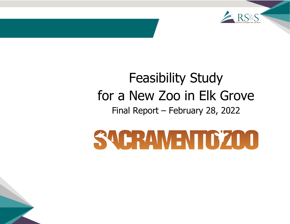

# Feasibility Study for a New Zoo in Elk Grove Final Report – February 28, 2022

# SACRAMENTOZOO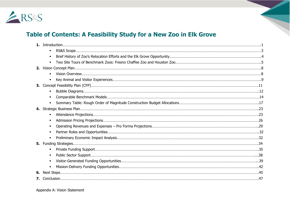

# **Table of Contents: A Feasibility Study for a New Zoo in Elk Grove**

| $\blacksquare$ |  |
|----------------|--|
|                |  |
|                |  |
|                |  |
|                |  |
|                |  |
|                |  |
| $\blacksquare$ |  |
|                |  |
|                |  |
|                |  |
|                |  |
|                |  |
|                |  |
|                |  |
| $\blacksquare$ |  |
|                |  |
| $\blacksquare$ |  |
|                |  |
|                |  |
|                |  |
|                |  |
|                |  |

Appendix A: Vision Statement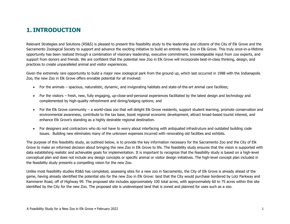# **1. INTRODUCTION**

Relevant Strategies and Solutions (RS&S) is pleased to present this feasibility study to the leadership and citizens of the City of Elk Grove and the Sacramento Zoological Society to support and advance the exciting initiative to build an entirely new Zoo in Elk Grove. This truly once-in-a-lifetime opportunity has been realized through a combination of visionary leadership, executive commitment, knowledgeable input from zoo experts, and support from donors and friends. We are confident that the potential new Zoo in Elk Grove will incorporate best-in-class thinking, design, and practices to create unparalleled animal and visitor experiences.

Given the extremely rare opportunity to build a major new zoological park from the ground up, which last occurred in 1988 with the Indianapolis Zoo, the new Zoo in Elk Grove offers enviable potential for all involved:

- For the animals spacious, naturalistic, dynamic, and invigorating habitats and state-of-the-art animal care facilities;
- For the visitors fresh, new, fully engaging, up-close-and-personal experiences facilitated by the latest design and technology and complemented by high-quality refreshment and dining/lodging options; and
- For the Elk Grove community a world-class zoo that will delight Elk Grove residents, support student learning, promote conservation and environmental awareness, contribute to the tax base, boost regional economic development, attract broad-based tourist interest, and enhance Elk Grove's standing as a highly desirable regional destination.
- For designers and contractors who do not have to worry about interfacing with antiquated infrastruture and outdated building code issues. Building new eliminates many of the unknown expenses incurred with renovating old facilities and exhibits.

The purpose of this feasibility study, as outlined below, is to provide the key information necessary for the Sacramento Zoo and the City of Elk Grove to make an informed decision about bringing the new Zoo in Elk Grove to life. The feasibility study ensures that the vision is supported with data establishing realistic and achievable goals for implementation. It is important to recognize that the feasibility study is based on a high-level conceptual plan and does not include any design concepts or specific animal or visitor design initiatives. The high-level concept plan included in the feasibility study presents a compelling vision for the new Zoo.

Unlike most feasibility studies RS&S has completed, assessing sites for a new zoo in Sacramento, the City of Elk Grove is already ahead of the game, having already identified the potential site for the new Zoo in Elk Grove: land that the City would purchase bordered by Lotz Parkway and Kammerer Road, off of Highway 99. The proposed site includes approximately 100 total acres, with approximately 60 to 75 acres within this site identified by the City for the new Zoo. The proposed site is undeveloped land that is zoned and planned for uses such as a zoo.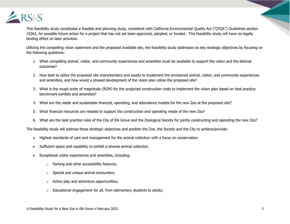

This feasibility study constitutes a feasible and planning study, consistent with California Environmental Quality Act ("CEQA") Guidelines section 15262, for possible future action for a project that has not yet been approved, adopted, or funded. This feasibility study will have no legally binding effect on later activities.

Utilizing the compelling vision statement and the proposed available site, the feasibility study addresses six key strategic objectives by focusing on the following questions:

- 1. What compelling animal, visitor, and community experiences and amenities must be available to support the vision and the desired outcomes?
- 2. How best to utilize the proposed site characteristics and assets to implement the envisioned animal, visitor, and community experiences and amenities, and how would a phased development of the vision plan utilize the proposed site?
- 3. What is the rough order of magnitude (ROM) for the projected construction costs to implement the vision plan based on best practice benchmark exhibits and amenities?
- 4. What are the viable and sustainable financial, operating, and attendance models for the new Zoo at the proposed site?
- 5. What financial resources are needed to support the construction and operating needs of the new Zoo?
- 6. What are the best practice roles of the City of Elk Grove and the Zoological Society for jointly constructing and operating the new Zoo?

The feasibility study will address these strategic objectives and position the Zoo, the Society and the City to achieve/provide:

- Highest standards of care and management for the animal collection with a focus on conservation.
- Sufficient space and capability to exhibit a diverse animal collection.
- Exceptional visitor experiences and amenities, including:
	- o Parking and other accessibility features;
	- o Special and unique animal encounters;
	- $\circ$  Active play and adventure opportunities;
	- $\circ$  Educational engagement for all, from elementary students to adults;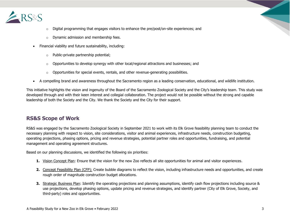

- $\circ$  Digital programming that engages visitors to enhance the pre/post/on-site experiences; and
- o Dynamic admission and membership fees.
- Financial viability and future sustainability, including:
	- o Public-private partnership potential;
	- $\circ$  Opportunities to develop synergy with other local/regional attractions and businesses; and
	- $\circ$  Opportunities for special events, rentals, and other revenue-generating possibilities.
- A compelling brand and awareness throughout the Sacramento region as a leading conservation, educational, and wildlife institution.

This initiative highlights the vision and ingenuity of the Board of the Sacramento Zoological Society and the City's leadership team. This study was developed through and with their keen interest and collegial collaboration. The project would not be possible without the strong and capable leadership of both the Society and the City. We thank the Society and the City for their support.

# **RS&S Scope of Work**

RS&S was engaged by the Sacramento Zoological Society in September 2021 to work with its Elk Grove feasibility planning team to conduct the necessary planning with respect to vision, site considerations, visitor and animal experiences, infrastructure needs, construction budgeting, operating projections, phasing options, pricing and revenue strategies, potential partner roles and opportunities, fundraising, and potential management and operating agreement structures.

Based on our planning discussions, we identified the following six priorities:

- **1.** Vision Concept Plan: Ensure that the vision for the new Zoo reflects all site opportunities for animal and visitor experiences.
- **2.** Concept Feasibility Plan (CFP): Create bubble diagrams to reflect the vision, including infrastructure needs and opportunities, and create rough order of magnitude construction budget allocations.
- **3.** Strategic Business Plan: Identify the operating projections and planning assumptions, identify cash flow projections including source & use projections, develop phasing options, update pricing and revenue strategies, and identify partner (City of Elk Grove, Society, and third-party) roles and opportunities.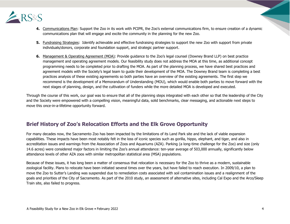

- **4.** Communications Plan: Support the Zoo in its work with PCIPR, the Zoo's external communications firm, to ensure creation of a dynamic communications plan that will engage and excite the community in the planning for the new Zoo.
- **5.** Fundraising Strategies: Identify achievable and effective fundraising strategies to support the new Zoo with support from private individuals/donors, corporate and foundation support, and strategic partner support.
- **6.** Management & Operating Agreement (MOA): Provide guidance to the Zoo's legal counsel (Downey Brand LLP) on best practice management and operating agreement models. Our feasibility study does not address the MOA at this time, as additional concept programming needs to be completed prior to drafting the MOA. As part of the planning process, we have shared best practices and agreement models with the Society's legal team to guide their development of the MOA. The Downey Brand team is completing a best practices analysis of these existing agreements so both parties have an overview of the existing agreements. The first step we recommend is the development of a Memorandum of Understanding (MOU), which would enable both parties to move forward with the next stages of planning, design, and the cultivation of funders while the more detailed MOA is developed and executed.

Through the course of this work, our goal was to ensure that all of the planning steps integrated with each other so that the leadership of the City and the Society were empowered with a compelling vision, meaningful data, solid benchmarks, clear messaging, and actionable next steps to move this once-in-a-lifetime opportunity forward.

# **Brief History of Zoo's Relocation Efforts and the Elk Grove Opportunity**

For many decades now, the Sacramento Zoo has been impacted by the limitations of its Land Park site and the lack of viable expansion capabilities. These impacts have been most notably felt in the loss of iconic species such as gorilla, hippo, elephant, and tiger, and also in accreditation issues and warnings from the Association of Zoos and Aquariums (AZA). Parking (a long-time challenge for the Zoo) and size (only 14.6 acres) were considered major factors in limiting the Zoo's annual attendance: ten-year average of 503,000 annually, significantly below attendance levels of other AZA zoos with similar metropolitan statistical area (MSA) populations.

Because of these issues, it has long been a matter of consensus that relocation is necessary for the Zoo to thrive as a modern, sustainable zoological facility. Plans to relocate have been initiated several times over the years, but have failed to reach execution. In 2009/10, a plan to move the Zoo to Sutter's Landing was suspended due to remediation costs associated with soil contamination issues and a realignment of the goals and priorities of the City of Sacramento. As part of the 2010 study, an assessment of alternative sites, including Cal Expo and the Arco/Sleep Train site, also failed to progress.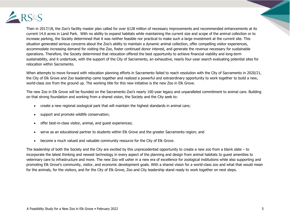

Then in 2017/18, the Zoo's facility master plan called for over \$128 million of necessary improvements and recommended enhancements at its current 14.6 acres in Land Park. With no ability to expand habitats while maintaining the current size and scope of the animal collection or to increase parking, the Society determined that it was neither feasible nor practical to make such a large investment at the current site. This situation generated serious concerns about the Zoo's ability to maintain a dynamic animal collection, offer compelling visitor experiences, accommodate increasing demand for visiting the Zoo, foster continued donor interest, and generate the revenue necessary for sustainable operations. Therefore, the Society determined that relocation offered the best opportunity to achieve financial viability and long-term sustainability, and it undertook, with the support of the City of Sacramento, an exhaustive, nearly four-year search evaluating potential sites for relocation within Sacramento.

When attempts to move forward with relocation planning efforts in Sacramento failed to reach resolution with the City of Sacramento in 2020/21, the City of Elk Grove and Zoo leadership came together and realized a powerful and extraordinary opportunity to work together to build a new, world-class zoo from the ground up. The working title for this new initiative is the new Zoo in Elk Grove.

The new Zoo in Elk Grove will be founded on the Sacramento Zoo's nearly 100-year legacy and unparalleled commitment to animal care. Building on that strong foundation and working from a shared vision, the Society and the City seek to:

- create a new regional zoological park that will maintain the highest standards in animal care;
- support and promote wildlife conservation;
- offer best-in-class visitor, animal, and quest experiences;
- serve as an educational partner to students within Elk Grove and the greater Sacramento region; and
- become a much valued and valuable community resource for the City of Elk Grove.

The leadership of both the Society and the City are excited by this unprecedented opportunity to create a new zoo from a blank slate – to incorporate the latest thinking and newest technology in every aspect of the planning and design from animal habitats to guest amenities to veterinary care to infrastructure and more. The new Zoo will usher in a new era of excellence for zoological institutions while also supporting and promoting Elk Grove's community, visitor, and economic development goals. With a shared vision for a world-class zoo and what that would mean for the animals, for the visitors, and for the City of Elk Grove, Zoo and City leadership stand ready to work together on next steps.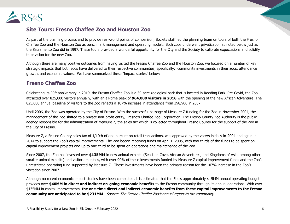

# **Site Tours: Fresno Chaffee Zoo and Houston Zoo**

As part of the planning process and to provide real-world points of comparison, Society staff led the planning team on tours of both the Fresno Chaffee Zoo and the Houston Zoo as benchmark management and operating models. Both zoos underwent privatization as noted below just as the Sacramento Zoo did in 1997. These tours provided a wonderful opportunity for the City and the Society to calibrate expectations and solidify their vision for the new Zoo.

Although there are many positive outcomes from having visited the Fresno Chaffee Zoo and the Houston Zoo, we focused on a number of key strategic impacts that both zoos have delivered to their respective communities, specifically: community investments in their zoos, attendance growth, and economic values. We have summarized these "impact stories" below:

# **Fresno Chaffee Zoo**

Celebrating its 90th anniversary in 2019, the Fresno Chaffee Zoo is a 39-acre zoological park that is located in Roeding Park. Pre-Covid, the Zoo attracted over 825,000 visitors annually, with an all-time peak of **964,000 visitors in 2016** with the opening of the new African Adventure. The 825,000 annual baseline of visitors to the Zoo reflects a 107% increase in attendance from 398,900 in 2007.

Until 2006, the Zoo was operated by the City of Fresno. With the successful passage of Measure Z funding for the Zoo in November 2004, the management of the Zoo shifted to a private non-profit entity, Fresno's Chaffee Zoo Corporation. The Fresno County Zoo Authority is the public agency responsible for the administration of Measure Z, the sales tax which is collected throughout Fresno County for the support of the Zoo in the City of Fresno.

Measure Z, a Fresno County sales tax of 1/10th of one percent on retail transactions, was approved by the voters initially in 2004 and again in 2014 to support the Zoo's capital improvements. The Zoo began receiving funds on April 1, 2005, with two-thirds of the funds to be spent on capital improvement projects and up to one-third to be spent on operations and maintenance of the Zoo.

Since 2007, the Zoo has invested over **\$135MM** in new animal exhibits (Sea Lion Cove, African Adventures, and Kingdoms of Asia, among other smaller animal exhibits) and visitor amenities, with over 90% of these investments funded by Measure Z capital improvement funds and the Zoo's unrestricted operating fund supported by Measure Z. These investments have been the primary reason for the 107% increase in the Zoo's visitation since 2007.

Although no recent economic impact studies have been completed, it is estimated that the Zoo's approximately \$15MM annual operating budget provides over **\$40MM in direct and indirect on-going economic benefits** to the Fresno community through its annual operations. With over \$135MM in capital improvements, **the one-time direct and indirect economic benefits from these capital improvements to the Fresno community are anticipated to be \$231MM**. Source: The Fresno Chaffee Zoo's annual report to the community.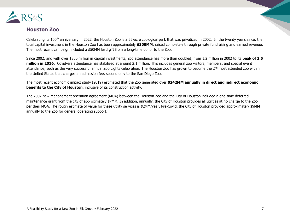

# **Houston Zoo**

Celebrating its 100<sup>th</sup> anniversary in 2022, the Houston Zoo is a 55-acre zoological park that was privatized in 2002. In the twenty years since, the total capital investment in the Houston Zoo has been approximately **\$300MM**, raised completely through private fundraising and earned revenue. The most recent campaign included a \$50MM lead gift from a long-time donor to the Zoo.

Since 2002, and with over \$300 million in capital investments, Zoo attendance has more than doubled, from 1.2 million in 2002 to its **peak of 2.5 million in 2016**. Covid-era attendance has stabilized at around 2.1 million. This includes general zoo visitors, members, and special event attendance, such as the very successful annual Zoo Lights celebration. The Houston Zoo has grown to become the 2<sup>nd</sup> most attended zoo within the United States that charges an admission fee, second only to the San Diego Zoo.

The most recent economic impact study (2019) estimated that the Zoo generated over **\$242MM annually in direct and indirect economic benefits to the City of Houston**, inclusive of its construction activity.

The 2002 new management operation agreement (MOA) between the Houston Zoo and the City of Houston included a one-time deferred maintenance grant from the city of approximately \$7MM. In addition, annually, the City of Houston provides all utilities at no charge to the Zoo per their MOA. The rough estimate of value for these utility services is \$2MM/year. Pre-Covid, the City of Houston provided approximately \$9MM annually to the Zoo for general operating support.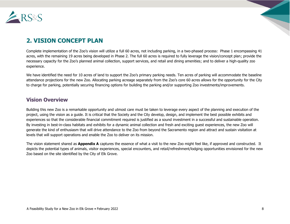

# **2. VISION CONCEPT PLAN**

Complete implementation of the Zoo's vision will utilize a full 60 acres, not including parking, in a two-phased process: Phase 1 encompassing 41 acres, with the remaining 19 acres being developed in Phase 2. The full 60 acres is required to fully leverage the vision/concept plan; provide the necessary capacity for the Zoo's planned animal collection, support services, and retail and dining amenities; and to deliver a high-quality zoo experience.

We have identified the need for 10 acres of land to support the Zoo's primary parking needs. Ten acres of parking will accommodate the baseline attendance projections for the new Zoo. Allocating parking acreage separately from the Zoo's core 60 acres allows for the opportunity for the City to charge for parking, potentially securing financing options for building the parking and/or supporting Zoo investments/improvements.

#### **Vision Overview**

Building this new Zoo is a remarkable opportunity and utmost care must be taken to leverage every aspect of the planning and execution of the project, using the vision as a guide. It is critical that the Society and the City develop, design, and implement the best possible exhibits and experiences so that the considerable financial commitment required is justified as a sound investment in a successful and sustainable operation. By investing in best-in-class habitats and exhibits for a dynamic animal collection and fresh and exciting guest experiences, the new Zoo will generate the kind of enthusiasm that will drive attendance to the Zoo from beyond the Sacramento region and attract and sustain visitation at levels that will support operations and enable the Zoo to deliver on its mission.

The vision statement shared as **Appendix A** captures the essence of what a visit to the new Zoo might feel like, if approved and constructed. It depicts the potential types of animals, visitor experiences, special encounters, and retail/refreshment/lodging opportunities envisioned for the new Zoo based on the site identified by the City of Elk Grove.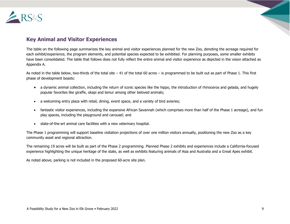

# **Key Animal and Visitor Experiences**

The table on the following page summarizes the key animal and visitor experiences planned for the new Zoo, denoting the acreage required for each exhibit/experience, the program elements, and potential species expected to be exhibited. For planning purposes, some smaller exhibits have been consolidated. The table that follows does not fully reflect the entire animal and visitor experience as depicted in the vision attached as Appendix A.

As noted in the table below, two-thirds of the total site – 41 of the total 60 acres – is programmed to be built out as part of Phase 1. This first phase of development boasts:

- a dynamic animal collection, including the return of iconic species like the hippo, the introduction of rhinoceros and gelada, and hugely popular favorites like giraffe, okapi and lemur among other beloved animals;
- a welcoming entry plaza with retail, dining, event space, and a variety of bird aviaries;
- fantastic visitor experiences, including the expansive African Savannah (which comprises more than half of the Phase 1 acreage), and fun play spaces, including the playground and carousel; and
- state-of-the-art animal care facilities with a new veterinary hospital.

The Phase 1 programming will support baseline visitation projections of over one million visitors annually, positioning the new Zoo as a key community asset and regional attraction.

The remaining 19 acres will be built as part of the Phase 2 programming. Planned Phase 2 exhibits and experiences include a California-focused experience highlighting the unique heritage of the state, as well as exhibits featuring animals of Asia and Australia and a Great Apes exhibit.

As noted above, parking is not included in the proposed 60-acre site plan.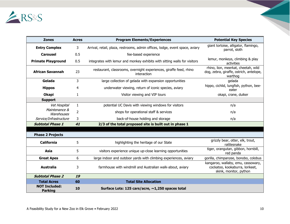

| <b>Zones</b>                           | <b>Acres</b>   | <b>Program Elements/Experiences</b>                                               | <b>Potential Key Species</b>                                                                    |
|----------------------------------------|----------------|-----------------------------------------------------------------------------------|-------------------------------------------------------------------------------------------------|
| <b>Entry Complex</b>                   | 3              | Arrival, retail, plaza, restrooms, admin offices, lodge, event space, aviary      | giant tortoise, alligator, flamingo,<br>parrot, sloth                                           |
| <b>Carousel</b>                        | 0.5            | fee-based experience                                                              |                                                                                                 |
| <b>Primate Playground</b>              | 0.5            | integrates with lemur and monkey exhibits with sitting walls for visitors         | lemur, monkeys, climbing & play<br>activities                                                   |
| <b>African Savannah</b>                | 23             | restaurant, classrooms, overnight experiences, giraffe feed, rhino<br>interaction | rhino, lion, meerkat, cheetah, wild<br>dog, zebra, giraffe, ostrich, antelope,<br>warthog       |
| Gelada                                 | 3              | large collection of gelada with expansion opportunities                           | gelada                                                                                          |
| <b>Hippos</b>                          | 4              | underwater viewing, return of iconic species, aviary                              | hippo, cichlid, lungfish, python, bee-<br>eater                                                 |
| <b>Okapi</b>                           | 1              | Visitor viewing and VIP tours                                                     | okapi, crane, duiker                                                                            |
| <b>Support</b>                         |                |                                                                                   |                                                                                                 |
| Vet Hospital                           | $\mathbf{1}$   | potential UC Davis with viewing windows for visitors                              | n/a                                                                                             |
| Maintenance &<br>Warehouses            | $\overline{2}$ | shops for operational staff & services                                            | n/a                                                                                             |
| Service/Infrastructure                 | 3              | back-of-house holding and storage                                                 | n/a                                                                                             |
| <b>Subtotal Phase 1</b>                | 41             | 2/3 of the total proposed site is built out in phase 1                            |                                                                                                 |
|                                        |                |                                                                                   |                                                                                                 |
| <b>Phase 2 Projects</b>                |                |                                                                                   |                                                                                                 |
| <b>California</b>                      | 5              | highlighting the heritage of our State                                            | grizzly bear, otter, elk, trout,<br>rattlesnake                                                 |
| <b>Asia</b>                            | 5              | visitors experience unique up-close learning opportunities                        | tiger, orangutan, gibbon, hornbill,<br>red panda                                                |
| <b>Great Apes</b>                      | 6              | large indoor and outdoor yards with climbing experiences, aviary                  | gorilla, chimpanzee, bonobo, colobus                                                            |
| <b>Australia</b>                       | 3              | farmhouse with windmill and Australian walk-about, aviary                         | kangaroo, wallaby, emu, cassowary,<br>cockatoo, kookaburra, lorikeet,<br>skink, monitor, python |
| <b>Subtotal Phase 2</b>                | 19             |                                                                                   |                                                                                                 |
| <b>Total Acres</b>                     | 60             | <b>Total Site Allocation</b>                                                      |                                                                                                 |
| <b>NOT Included:</b><br><b>Parking</b> | 10             | Surface Lots: 125 cars/acre, ~1,250 spaces total                                  |                                                                                                 |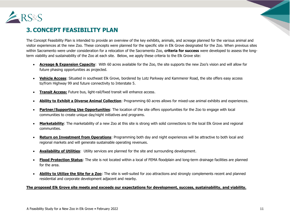

# **3. CONCEPT FEASIBILITY PLAN**

The Concept Feasibility Plan is intended to provide an overview of the key exhibits, animals, and acreage planned for the various animal and visitor experiences at the new Zoo. These concepts were planned for the specific site in Elk Grove designated for the Zoo. When previous sites within Sacramento were under consideration for a relocation of the Sacramento Zoo, **criteria for success** were developed to assess the longterm viability and sustainability of the Zoo at each site. Below, we apply these criteria to the Elk Grove site:

- **Acreage & Expansion Capacity**: With 60 acres available for the Zoo, the site supports the new Zoo's vision and will allow for future phasing opportunities as projected.
- **Vehicle Access**: Situated in southeast Elk Grove, bordered by Lotz Parkway and Kammerer Road, the site offers easy access to/from Highway 99 and future connectivity to Interstate 5.
- **Transit Access:** Future bus, light-rail/fixed transit will enhance access.
- **Ability to Exhibit a Diverse Animal Collection**: Programming 60 acres allows for mixed-use animal exhibits and experiences.
- **Partner/Supporting Use Opportunities**: The location of the site offers opportunities for the Zoo to engage with local communities to create unique day/night initiatives and programs.
- **Marketability**: The marketability of a new Zoo at this site is strong with solid connections to the local Elk Grove and regional communities.
- **Return on Investment from Operations**: Programming both day and night experiences will be attractive to both local and regional markets and will generate sustainable operating revenues.
- **Availability of Utilities**: Utility services are planned for the site and surrounding development.
- **Flood Protection Status**: The site is not located within a local of FEMA floodplain and long-term drainage facilities are planned for the area.
- **Ability to Utilize the Site for a Zoo**: The site is well-suited for zoo attractions and strongly complements recent and planned residential and corporate development adjacent and nearby.

#### **The proposed Elk Grove site meets and exceeds our expectations for development, success, sustainability, and viability.**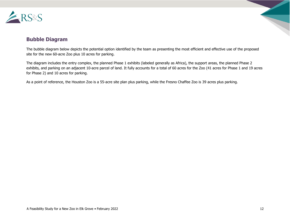

# **Bubble Diagram**

The bubble diagram below depicts the potential option identified by the team as presenting the most efficient and effective use of the proposed site for the new 60-acre Zoo plus 10 acres for parking.

The diagram includes the entry complex, the planned Phase 1 exhibits (labeled generally as Africa), the support areas, the planned Phase 2 exhibits, and parking on an adjacent 10-acre parcel of land. It fully accounts for a total of 60 acres for the Zoo (41 acres for Phase 1 and 19 acres for Phase 2) and 10 acres for parking.

As a point of reference, the Houston Zoo is a 55-acre site plan plus parking, while the Fresno Chaffee Zoo is 39 acres plus parking.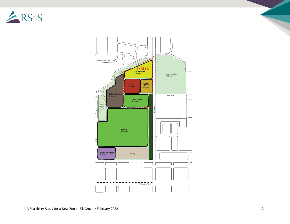



A Feasibility Study for a New Zoo in Elk Grove • February 2022 13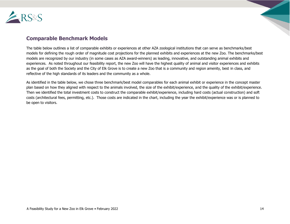

# **Comparable Benchmark Models**

The table below outlines a list of comparable exhibits or experiences at other AZA zoological institutions that can serve as benchmarks/best models for defining the rough order of magnitude cost projections for the planned exhibits and experiences at the new Zoo. The benchmarks/best models are recognized by our industry (in some cases as AZA award-winners) as leading, innovative, and outstanding animal exhibits and experiences. As noted throughout our feasibility report, the new Zoo will have the highest quality of animal and visitor experiences and exhibits as the goal of both the Society and the City of Elk Grove is to create a new Zoo that is a community and region amenity, best in class, and reflective of the high standards of its leaders and the community as a whole.

As identified in the table below, we chose three benchmark/best model comparables for each animal exhibit or experience in the concept master plan based on how they aligned with respect to the animals involved, the size of the exhibit/experience, and the quality of the exhibit/experience. Then we identified the total investment costs to construct the comparable exhibit/experience, including hard costs (actual construction) and soft costs (architectural fees, permitting, etc.). Those costs are indicated in the chart, including the year the exhibit/experience was or is planned to be open to visitors.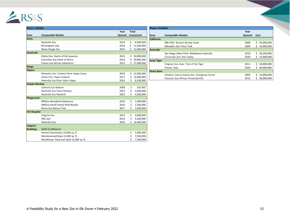

| <b>Phase I Exhibits</b> |                                           |        |                  |  |
|-------------------------|-------------------------------------------|--------|------------------|--|
|                         | Year                                      |        |                  |  |
| Zone                    | <b>Comparable Models</b>                  | Opened | Investment       |  |
| Entry                   |                                           |        |                  |  |
|                         | Nashville Zoo                             | 2016   | \$<br>8,400,000  |  |
|                         | Birmingham Zoo                            | 2019   | Ś<br>11,500,000  |  |
|                         | Baton Rouge Zoo                           | 2023   | Ś<br>12,000,000  |  |
| <b>Savannah</b>         |                                           |        |                  |  |
|                         | Dallas Zoo- Giants of the Savanna         | 2010   | Ś.<br>30,000,000 |  |
|                         | Columbus Zoo Heart of Africa              | 2014   | Ś<br>30,800,000  |  |
|                         | Fresno Zoo African Adventure              | 2015   | Ś.<br>57,000,000 |  |
| Okapi                   |                                           |        |                  |  |
| <b>Hippos</b>           |                                           |        |                  |  |
|                         | Memphis Zoo: Zambezi River Hippo Camp     | 2016   | Ś<br>22,000,000  |  |
|                         | Dallas Zoo: Hippo Outpost                 | 2017   | \$<br>14,000,000 |  |
|                         | Nashville Zoo River Safari Hippo          | 2023   | Ś<br>8,500,000   |  |
| <b>Gelada Monkey</b>    |                                           |        |                  |  |
|                         | Oakland Zoo Baboon                        | 2009   | \$<br>923,907    |  |
|                         | Nashville Zoo Patas Monkey                | 2023   | \$<br>3,000,000  |  |
|                         | Nashville Zoo Mandrill                    | 2023   | \$<br>4,500,000  |  |
| Playground              |                                           |        |                  |  |
|                         | MNZoo Woodland Adventure                  | 2010   | \$<br>1,000,000  |  |
|                         | MNZoo Hanifl Family Wild Woods            | 2016   | \$<br>1,500,000  |  |
|                         | <b>Bronx Zoo Nature Trek</b>              | 2017   | Ś<br>2,000,000   |  |
| <b>Vet Hospital</b>     |                                           |        |                  |  |
|                         | Virginia Zoo                              | 2014   | \$<br>4,000,000  |  |
|                         | OKC Zoo                                   | 2016   | Ś<br>9,200,000   |  |
|                         | Nashville Zoo                             | 2019   | \$<br>16,000,000 |  |
| <b>Support</b>          |                                           |        |                  |  |
| <b>Buildings</b>        | \$500-\$1,000/sq.ft                       |        |                  |  |
|                         | Animal Commissary 10,000 sq. ft.          |        | \$<br>5,000,000  |  |
|                         | Maintenance/shops 15,000 sq. ft.          |        | \$<br>7,500,000  |  |
|                         | Warehouse- food and retail 15,000 sq. ft. |        | \$<br>7,500,000  |  |

| <b>Phase II Exhibits</b> |                                            |        |                  |
|--------------------------|--------------------------------------------|--------|------------------|
|                          |                                            | Year   |                  |
| Zone                     | <b>Comparable Models</b>                   | Opened | Cost             |
| <b>California</b>        |                                            |        |                  |
|                          | MN ZOO- Russia's Grizzly Coast             | 2008   | Ś.<br>24,000,000 |
|                          | Memphis Zoo Teton Trek                     | 2009   | 23,000,000<br>Ś  |
| <b>Australia</b>         |                                            |        |                  |
|                          | San Diego Safari Park- Walkabout Australia | 2019   | \$<br>18,250,000 |
|                          | Cincinnati Zoo: Roo Valley                 | 2020   | 13,000,000<br>Ś  |
| Asia/Tiger               |                                            |        |                  |
|                          | Virginia Zoo: Asia: Trail of the Tiger     | 2011   | 18,000,000<br>Ś. |
|                          | Fresno-Asia                                | 2024   | Ś.<br>44,000,000 |
| <b>Great Apes</b>        |                                            |        |                  |
|                          | Omaha's Henry Doorly Zoo: Orangutan Forest | 2005   | \$<br>12,000,000 |
|                          | Houston Zoo-African Forest/Gorilla         | 2015   | Ś<br>28,000,000  |

 $\overline{\phantom{a}}$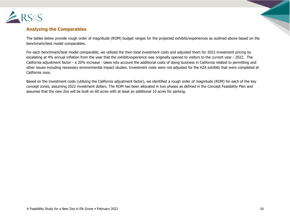

#### **Analyzing the Comparables**

The tables below provide rough order of magnitude (ROM) budget ranges for the projected exhibits/experiences as outlined above based on the benchmark/best model comparables.

For each benchmark/best model comparable, we utilized the then total investment costs and adjusted them for 2022 investment pricing by escalating at 4% annual inflation from the year that the exhibit/experience was originally opened to visitors to the current year - 2022. The California adjustment factor - a 20% increase - takes into account the additional costs of doing business in California related to permitting and other issues including necessary environmental impact studies. Investment costs were not adjusted for the AZA exhibits that were completed at California zoos.

Based on the investment costs (utilizing the California adjustment factor), we identified a rough order of magnitude (ROM) for each of the key concept zones, assuming 2022 investment dollars. The ROM has been allocated in two phases as defined in the Concept Feasibility Plan and assumes that the new Zoo will be built on 60 acres with at least an additional 10 acres for parking.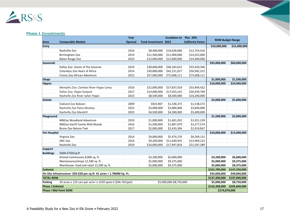

#### **Phase 1 Investments**

|                         |                                                                        | Year          |                              | <b>Escalation to</b>    | <b>Plus 20%</b>          |               |                         |
|-------------------------|------------------------------------------------------------------------|---------------|------------------------------|-------------------------|--------------------------|---------------|-------------------------|
| Zone                    | <b>Comparable Models</b>                                               | <b>Opened</b> | <b>Total Investment 2022</b> |                         | <b>California Factor</b> |               | <b>ROM Budget Range</b> |
| Entry                   |                                                                        |               |                              |                         |                          | \$10,000,000  | \$15,000,000            |
|                         | Nashville Zoo                                                          | 2016          | \$8,400,000                  | \$10,628,680            | \$12,754,416             |               |                         |
|                         | Birmingham Zoo                                                         | 2019          | \$11,500,000                 | \$11,960,000            | \$14,352,000             |               |                         |
|                         | Baton Rouge Zoo                                                        | 2023          | \$12,000,000                 | \$12,000,000            | \$14,400,000             |               |                         |
| Savannah                |                                                                        |               |                              |                         |                          | \$45,000,000  | \$60,000,000            |
|                         | Dallas Zoo- Giants of the Savanna                                      | 2010          | \$30,000,000                 | \$46,183,622            | \$55,420,346             |               |                         |
|                         | Columbus Zoo Heart of Africa                                           | 2014          | \$30,800,000                 | \$42,151,927            | \$50,582,312             |               |                         |
|                         | Fresno Zoo African Adventure                                           | 2015          | \$57,000,000                 | \$75,008,111            | \$75,008,111             |               |                         |
| Okapi                   |                                                                        |               |                              |                         |                          | \$1,000,000   | \$1,500,000             |
| <b>Hippos</b>           |                                                                        |               |                              |                         |                          | \$18,000,000  | \$24,000,000            |
|                         | Memphis Zoo: Zambezi River Hippo Camp                                  | 2016          | \$22,000,000                 | \$27,837,018            | \$33,404,422             |               |                         |
|                         | Dallas Zoo: Hippo Outpost                                              | 2017          | \$14,000,000                 | \$17,033,141            | \$20,439,769             |               |                         |
|                         | Nashville Zoo River Safari Hippo                                       | 2023          | \$8,500,000                  | \$8,500,000             | \$10,200,000             |               |                         |
| Gelada                  |                                                                        |               |                              |                         |                          | \$3,000,000   | \$5,000,000             |
|                         | Oakland Zoo Baboon                                                     | 2009          | \$923,907                    | \$1,538,373             | \$1,538,373              |               |                         |
|                         | Nashville Zoo Patas Monkey                                             | 2023          | \$3,000,000                  | \$3,000,000             | \$3,600,000              |               |                         |
|                         | Nashville Zoo Mandrill                                                 | 2023          | \$4,500,000                  | \$4,500,000             | \$5,400,000              |               |                         |
| Playground              |                                                                        |               |                              |                         |                          | \$1,500,000   | \$2,000,000             |
|                         | <b>MNZoo Woodland Adventure</b>                                        | 2010          | \$1,000,000                  | \$1,601,032             | \$1,921,239              |               |                         |
|                         | MNZoo Hanifl Family Wild Woods                                         | 2016          | \$1,500,000                  | \$1,897,979             | \$2,277,574              |               |                         |
|                         | <b>Bronx Zoo Nature Trek</b>                                           | 2017          | \$2,000,000                  | \$2,433,306             | \$2,919,967              |               |                         |
| <b>Vet Hospital</b>     |                                                                        |               |                              |                         |                          | \$10,000,000  | \$15,000,000            |
|                         | Virginia Zoo                                                           | 2014          | \$4,000,000                  | \$5,474,276             | \$6,569,131              |               |                         |
|                         | OKC Zoo                                                                | 2016          | \$9,200,000                  | \$11,640,935            | \$13,969,122             |               |                         |
|                         | Nashville Zoo                                                          | 2019          | \$16,000,000                 | \$17,997,824            | \$21,597,389             |               |                         |
| <b>Support</b>          |                                                                        |               |                              |                         |                          |               |                         |
| <b>Buildings</b>        | \$400-\$750/sq.ft                                                      |               |                              |                         |                          |               |                         |
|                         | Animal Commissary 8,000 sq. ft.                                        |               | \$3,200,000                  | \$6,000,000             |                          | \$3,200,000   | \$6,000,000             |
|                         | Maintenance/shops 12,500 sq. ft.                                       |               | \$5,000,000                  | \$9,375,000             |                          | \$5,000,000   | \$9,375,000             |
|                         | Warehouse- food and retail 12,500 sq. ft.                              |               | \$5,000,000                  | \$9,375,000             |                          | \$5,000,000   | \$9,375,000             |
| <b>Subtotal</b>         |                                                                        |               |                              |                         |                          | \$101,700,000 | \$147,250,000           |
|                         | On Site Infrastructure- \$20-\$28 per sq.ft. 41 acres = 1.78MM Sq. Ft. |               |                              |                         |                          | \$35,600,000  | \$49,840,000            |
|                         | <b>TOTAL ROM</b>                                                       |               |                              |                         |                          |               |                         |
| Parking                 | 10 acres x 125 cars per acre+ x 1250 spots X (\$4k-7K/spot)            |               |                              | \$5,000,000-\$8,750,000 |                          | \$5,000,000   | \$8,750,000             |
| <b>Phase I Subtotal</b> |                                                                        |               |                              |                         |                          | \$142,300,000 | \$205,840,000           |
|                         | <b>Phase I Mid Point ROM</b>                                           |               |                              |                         |                          | \$174,070,000 |                         |

 $\overline{\phantom{a}}$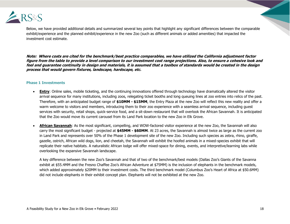

Below, we have provided additional details and summarized several key points that highlight any significant differences between the comparable exhibit/experience and the planned exhibit/experience in the new Zoo (such as different animals or added amenities) that impacted the investment cost estimate.

**Note: Where costs are cited for the benchmark/best practice comparables, we have utilized the California adjustment factor figure from the table to provide a level comparison to our investment cost range projections. Also, to ensure a cohesive look and feel and guarantee continuity in design and materials, it is assumed that a toolbox of standards would be created in the design process that would govern fixtures, landscape, hardscape, etc.** 

#### **Phase 1 Investments**

- **Entry**: Online sales, mobile ticketing, and the continuing innovations offered through technology have dramatically altered the visitor arrival sequence for many institutions, including zoos, relegating ticket booths and long queuing lines at zoo entries into relics of the past. Therefore, with an anticipated budget range of **\$10MM - \$15MM**, the Entry Plaza at the new Zoo will reflect this new reality and offer a warm welcome to visitors and members, introducing them to their zoo experience with a seamless arrival sequence, including guest services with security, retail shops, quick-service food, and a sit-down restaurant that will overlook the African Savannah. It is anticipated that the Zoo would move its current carousel from its Land Park location to the new Zoo in Elk Grove.
- **African Savannah**: As the most significant, compelling, and WOW-factored visitor experience at the new Zoo, the Savannah will also carry the most significant budget - projected at **\$45MM - \$60MM**. At 23 acres, the Savannah is almost twice as large as the current zoo in Land Park and represents over 50% of the Phase 1 development site of the new Zoo. Including such species as zebra, rhino, giraffe, gazelle, ostrich, African wild dogs, lion, and cheetah, the Savannah will exhibit the hoofed animals in a mixed-species exhibit that will replicate their native habitats. A naturalistic African lodge will offer mixed-space for dining, events, and interpretive/learning labs while overlooking the expansive Savannah landscape.

A key difference between the new Zoo's Savannah and that of two of the benchmark/best models (Dallas Zoo's Giants of the Savanna exhibit at \$55.4MM and the Fresno Chaffee Zoo's African Adventure at \$75MM) is the inclusion of elephants in the benchmark models, which added approximately \$20MM to their investment costs. The third benchmark model (Columbus Zoo's Heart of Africa at \$50.6MM) did not include elephants in their exhibit concept plan. Elephants will not be exhibited at the new Zoo.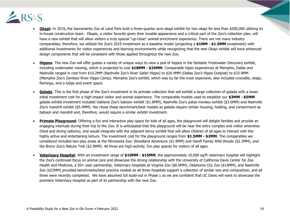

- **Okapi:** In 2019**,** the Sacramento Zoo at Land Park built a three-quarter acre okapi exhibit for two okapi for less than \$500,000 utilizing its in-house construction team. Okapis, a visitor favorite given their lovable appearance and a critical part of the Zoo's collection plan, will have a new exhibit that will allow visitors a truly special "up-close" animal enrichment experience. There are not many industry comparables; therefore, we utilized the Zoo's 2019 investment as a baseline model (projecting a **\$1MM - \$1.5MM** investment) with additional investments for visitor experiences and learning environments while recognizing that the new Okapi exhibit will have enhanced design components that will be consistent with those applied throughout the new Zoo.
- **Hippos**: The new Zoo will offer guests a variety of unique ways to view a pod of hippos in the fantastic Freshwater Discovery exhibit, including underwater viewing, which is projected to cost **\$18MM - \$24MM**. Comparable hippo experiences at Memphis, Dallas and Nashville ranged in cost from \$10.2MM (Nashville Zoo's River Safari Hippo) to \$20.4MM (Dallas Zoo's Hippo Outpost) to \$33.4MM (Memphis Zoo's Zambezi River Hippo Camp). Memphis Zoo's exhibit, which was by far the most expensive, also included crocodile, okapi, flamingo, and a lodge and event space.
- **Gelada**: This is the first phase of the Zoo's investment in its primate collection that will exhibit a large collection of gelada with a lower initial investment cost for a high-impact visitor and animal experience. The comparable models used to establish our **\$3MM - \$5MM** gelada exhibit investment included Oakland Zoo's baboon exhibit (\$1.8MM), Nashville Zoo's patas monkey exhibit (\$3.6MM) and Nashville Zoo's mandrill exhibit (\$5.4MM). We chose these benchmark/best models as gelada require similar housing, holding, and containment as baboon and mandrill and, therefore, would require a similar exhibit investment.
- Primate Playground: Offering a fun and interactive play space for kids of all ages, the playground will delight families and provide an engaging interlude during their trip to the Zoo. It is anticipated that this playground will be near the entry complex and visitor amenities (food and dining options), and would integrate with the adjacent lemur exhibit that will allow children of all ages to interact with the highly active and entertaining lemurs. The investment cost for the playground ranges from **\$1.5MM - \$2MM**. The comparables we considered included two play areas at the Minnesota Zoo: Woodland Adventure (\$1.9MM) and Hanifl Family Wild Woods (\$2.3MM), and the Bronx Zoo's Nature Trek (\$2.9MM). All three are high-activity, fun play spaces for visitors of all ages.
- **Veterinary Hospital**: With an investment range of **\$10MM - \$15MM**, the approximately 10,000 sq/ft veterinary hospital will highlight the Zoo's continued focus on animal care and showcase the strong relationship with the University of California Davis Center for Zoo Health and Medicine, a 50+ year partnership. Veterinary hospitals at Virginia Zoo (\$6.6MM), Oklahoma City Zoo (\$14MM), and Nashville Zoo (\$22MM) provided benchmarks/best practice models as all three hospitals support a collection of similar size and composition, and all three were recently completed. We have assumed full build-out in Phase 1 as we are confident that UC Davis will want to showcase the premiere Veterinary Hospital as part of its partnership with the new Zoo.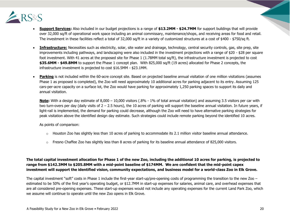

- **Support Services:** Also included in our budget projections is a range of **\$13.2MM - \$24.7MM** for support buildings that will provide over 32,000 sq/ft of operational work space including an animal commissary, maintenance/shops, and receiving areas for food and retail. The investment in these facilities reflect a total of 32,000 sq/ft in a variety of customized structures at a cost of \$400 - \$750/sq ft.
- **Infrastructure:** Necessities such as electricity, solar, site water and drainage, technology, central security controls, gas, site prep, site improvements including pathways, and landscaping were also included in the investment projections with a range of \$20 - \$28 per square foot investment. With 41 acres at the proposed site for Phase 1 (1.78MM total sq/ft), the infrastructure investment is projected to cost **\$35.6MM - \$49.8MM** to support the Phase 1 concept plan. With 825,000 sq/ft (19 acres) allocated for Phase 2 concepts, the infrastructure investment is projected to cost \$16.5MM - \$23.1MM.
- **Parking** is not included within the 60-acre concept site. Based on projected baseline annual visitation of one million visitations (assumes Phase 1 as proposed is completed), the Zoo will need approximately 10 additional acres for parking adjacent to its entry. Assuming 125 cars-per-acre capacity on a surface lot, the Zoo would have parking for approximately 1,250 parking spaces to support its daily and annual visitation.

**Note:** With a design day estimate of 8,000 – 10,000 visitors (.8% - 1% of total annual visitation) and assuming 3.5 visitors per car with two turn-overs per day (daily visits of 2 – 2.5 hours), the 10 acres of parking will support the baseline annual visitation. In future years, if light-rail is implemented, the demand for parking could decrease, although the Zoo will need to have alternative parking strategies for peak visitation above the identified design day estimate. Such strategies could include remote parking beyond the identified 10 acres.

As points of comparison:

- $\circ$  Houston Zoo has slightly less than 10 acres of parking to accommodate its 2.1 million visitor baseline annual attendance.
- $\circ$  Fresno Chaffee Zoo has slightly less than 8 acres of parking for its baseline annual attendance of 825,000 visitors.

#### **The total capital investment allocation for Phase 1 of the new Zoo, including the additional 10 acres for parking, is projected to range from \$142.3MM to \$205.8MM with a mid-point baseline of \$174MM. We are confident that the mid-point capex investment will support the identified vision, community expectations, and business model for a world-class Zoo in Elk Grove.**

The capital investment "soft" costs in Phase 1 include the first-year start-up/pre-opening costs of programming the transition to the new Zoo – estimated to be 50% of the first year's operating budget, or \$12.7MM in start-up expenses for salaries, animal care, and overhead expenses that are all considered pre-opening expenses. These start-up expenses would not include any operating expenses for the current Land Park Zoo, which we assume will continue to operate until the new Zoo opens in Elk Grove.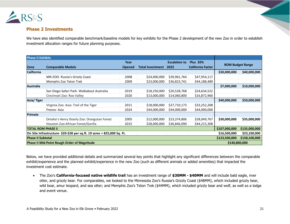

#### **Phase 2 Investments**

We have also identified comparable benchmark/baseline models for key exhibits for the Phase 2 development of the new Zoo in order to establish investment allocation ranges for future planning purposes.

| <b>Phase II Exhibits</b>  |                                                                         |               |                         |                      |                          |               |                         |
|---------------------------|-------------------------------------------------------------------------|---------------|-------------------------|----------------------|--------------------------|---------------|-------------------------|
|                           |                                                                         | Year          |                         | <b>Escalation to</b> | <b>Plus 20%</b>          |               | <b>ROM Budget Range</b> |
| Zone                      | <b>Comparable Models</b>                                                | <b>Opened</b> | <b>Total Investment</b> | 2022                 | <b>California Factor</b> |               |                         |
| <b>California</b>         |                                                                         |               |                         |                      |                          | \$30,000,000  | \$40,000,000            |
|                           | MN ZOO- Russia's Grizzly Coast                                          | 2008          | \$24,000,000            | \$39,961,764         | \$47,954,117             |               |                         |
|                           | Memphis Zoo Teton Trek                                                  | 2009          | \$23,000,000            | \$36,823,741         | \$44,188,489             |               |                         |
| <b>Australia</b>          |                                                                         |               |                         |                      |                          | \$7,000,000   | \$10,000,000            |
|                           | San Diego Safari Park- Walkabout Australia                              | 2019          | \$18,250,000            | \$20,528,768         | \$24,634,522             |               |                         |
|                           | Cincinnati Zoo: Roo Valley                                              | 2020          | \$13,000,000            | \$14,060,800         | \$16,872,960             |               |                         |
| Asia/Tiger                |                                                                         |               |                         |                      |                          | \$40,000,000  | \$50,000,000            |
|                           | Virginia Zoo: Asia: Trail of the Tiger                                  | 2011          | \$18,000,000            | \$27,710,173         | \$33,252,208             |               |                         |
|                           | Fresno-Asia                                                             | 2024          | \$44,000,000            | \$44,000,000         | \$44,000,000             |               |                         |
| Primate                   |                                                                         |               |                         |                      |                          |               |                         |
|                           | Omaha's Henry Doorly Zoo: Orangutan Forest                              | 2005          | \$12,000,000            | \$23,374,806         | \$28,049,767             | \$30,000,000  | \$35,000,000            |
|                           | Houston Zoo-African Forest/Gorilla                                      | 2015          | \$28,000,000            | \$36,846,090         | \$44,215,308             |               |                         |
| <b>TOTAL ROM PHASE ii</b> |                                                                         |               |                         |                      |                          | \$107,000,000 | \$135,000,000           |
|                           | On Site Infrastructure- \$20-\$28 per sq.ft. 19 acres = 825,000 Sq. Ft. |               |                         |                      |                          | \$16,500,000  | \$23,100,000            |
| <b>Phase II Subtotal</b>  |                                                                         |               |                         |                      |                          | \$123,500,000 | \$158,100,000           |
|                           | <b>Phase II Mid-Point Rough Order of Magnitude</b>                      |               |                         |                      |                          | \$140,800,000 |                         |

Below, we have provided additional details and summarized several key points that highlight any significant differences between the comparable exhibit/experience and the planned exhibit/experience in the new Zoo (such as different animals or added amenities) that impacted the investment cost estimate.

• The Zoo's **California-focused native wildlife trail** has an investment range of **\$30MM - \$40MM** and will include bald eagle, river otter, and grizzly bear. For comparables, we looked to the Minnesota Zoo's Russia's Grizzly Coast (\$48MM), which included grizzly bear, wild boar, amur leopard, and sea otter; and Memphis Zoo's Teton Trek (\$44MM), which included grizzly bear and wolf, as well as a lodge and event venue.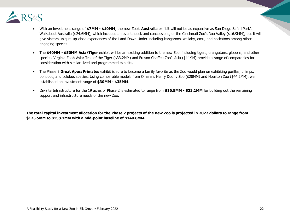

- With an investment range of **\$7MM - \$10MM**, the new Zoo's **Australia** exhibit will not be as expansive as San Diego Safari Park's Walkabout Australia (\$24.6MM), which included an events deck and concessions, or the Cincinnati Zoo's Roo Valley (\$16.9MM), but it will give visitors unique, up-close experiences of the Land Down Under including kangaroos, wallaby, emu, and cockatoos among other engaging species.
- The **\$40MM - \$50MM Asia/Tiger** exhibit will be an exciting addition to the new Zoo, including tigers, orangutans, gibbons, and other species. Virginia Zoo's Asia: Trail of the Tiger (\$33.2MM) and Fresno Chaffee Zoo's Asia (\$44MM) provide a range of comparables for consideration with similar sized and programmed exhibits.
- The Phase 2 **Great Apes/Primates** exhibit is sure to become a family favorite as the Zoo would plan on exhibiting gorillas, chimps, bonobos, and colobus species. Using comparable models from Omaha's Henry Doorly Zoo (\$28MM) and Houston Zoo (\$44.2MM), we established an investment range of **\$30MM - \$35MM**.
- On-Site Infrastructure for the 19 acres of Phase 2 is estimated to range from **\$16.5MM - \$23.1MM** for building out the remaining support and infrastructure needs of the new Zoo.

**The total capital investment allocation for the Phase 2 projects of the new Zoo is projected in 2022 dollars to range from \$123.5MM to \$158.1MM with a mid-point baseline of \$140.8MM.**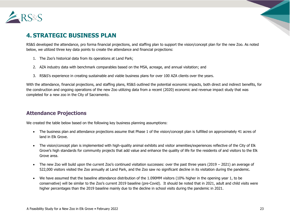

# **4. STRATEGIC BUSINESS PLAN**

RS&S developed the attendance, pro forma financial projections, and staffing plan to support the vision/concept plan for the new Zoo. As noted below, we utilized three key data points to create the attendance and financial projections:

- 1. The Zoo's historical data from its operations at Land Park;
- 2. AZA industry data with benchmark comparables based on the MSA, acreage, and annual visitation; and
- 3. RS&S's experience in creating sustainable and viable business plans for over 100 AZA clients over the years.

With the attendance, financial projections, and staffing plans, RS&S outlined the potential economic impacts, both direct and indirect benefits, for the construction and ongoing operations of the new Zoo utilizing data from a recent (2020) economic and revenue impact study that was completed for a new zoo in the City of Sacramento.

# **Attendance Projections**

We created the table below based on the following key business planning assumptions:

- The business plan and attendance projections assume that Phase 1 of the vision/concept plan is fulfilled on approximately 41 acres of land in Elk Grove.
- The vision/concept plan is implemented with high-quality animal exhibits and visitor amenities/experiences reflective of the City of Elk Grove's high standards for community projects that add value and enhance the quality of life for the residents of and visitors to the Elk Grove area.
- The new Zoo will build upon the current Zoo's continued visitation successes: over the past three years  $(2019 2021)$  an average of 522,000 visitors visited the Zoo annually at Land Park, and the Zoo saw no significant decline in its visitation during the pandemic.
- We have assumed that the baseline attendance distribution of the 1.090MM visitors (10% higher in the opening year 1, to be conservative) will be similar to the Zoo's current 2019 baseline (pre-Covid). It should be noted that in 2021, adult and child visits were higher percentages than the 2019 baseline mainly due to the decline in school visits during the pandemic in 2021.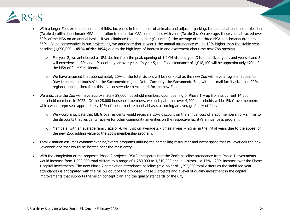

- With a larger Zoo, expanded animal exhibits, increases in the number of animals, and adjacent parking, the annual attendance projections (**Table 1**) utilize benchmark MSA penetration from similar MSA communities with zoos (**Table 2**). On average, these zoos attracted over 69% of the MSA on an annual basis. If you eliminate the one outlier (Columbus), the average of the three MSA benchmarks drops to 56%. Being conservative in our projections, we anticipate that in year 1 the annual attendance will be 10% higher than the stable year baseline (1,090,000 – **45% of the MSA**) due to the high level of interest in and excitement about the new Zoo opening.
	- $\circ$  For year 2, we anticipated a 10% decline from the peak opening of 1.2MM visitors, year 3 is a stabilized year, and years 4 and 5 will experience a 3% and 4% decline year over year. In year 5, the Zoo attendance of 1,018,400 will be approximately 42% of the MSA of 2.4MM residents.
	- $\circ$  We have assumed that approximately 20% of the total visitors will be non-local as the new Zoo will have a regional appeal to "day-trippers and tourists" to the Sacramento region. Note: Currently, the Sacramento Zoo, with its small facility size, has 20% regional appeal; therefore, this is a conservative benchmark for the new Zoo.
- We anticipate the Zoo will have approximately 28,000 household members upon opening of Phase 1 up from its current 14,500 household members in 2022. Of the 28,000 household members, we anticipate that over 4,200 households will be Elk Grove members – which would represent appropriately 10% of the current residential base, assuming an average family of four.
	- $\circ$  We would anticipate that Elk Grove residents would receive a 20% discount on the annual cost of a Zoo membership similar to the discounts that residents receive for other community amenities on the respective facility's annual pass program.
	- $\circ$  Members, with an average family size of 4, will visit on average 2.7 times a year higher in the initial years due to the appeal of the new Zoo, adding value to the Zoo's membership program.
- Total visitation assumes dynamic evening/events programs utilizing the compelling restaurant and event space that will overlook the new Savannah and that would be located near the main entry.
- With the completion of the proposed Phase 2 projects, RS&S anticipates that the Zoo's baseline attendance from Phase 1 investments would increase from 1,090,000 total visitors to a range of 1,280,000 to 1,310,000 annual visitors – a 17% - 20% increase over the Phase 1 capital investments. The new Phase 2 completion attendance baseline (mid-point of 1,295,000 total visitors as the stabilized year attendance) is anticipated with the full buildout of the proposed Phase 2 projects and a level of quality investment in the capital improvements that supports the vision concept plan and the quality standards of the City.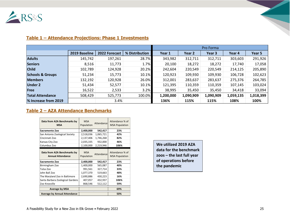

|                             |               |               |                | Pro Forma |           |           |           |           |
|-----------------------------|---------------|---------------|----------------|-----------|-----------|-----------|-----------|-----------|
|                             | 2019 Baseline | 2022 Forecast | % Distribution | Year 1    | Year 2    | Year 3    | Year 4    | Year 5    |
| <b>Adults</b>               | 145,742       | 197,261       | 28.7%          | 343,982   | 312,711   | 312,711   | 303,603   | 291,926   |
| <b>Seniors</b>              | 8,516         | 11,773        | 1.7%           | 20,100    | 18,272    | 18,272    | 17,740    | 17,058    |
| <b>Child</b>                | 102,789       | 124,928       | 20.2%          | 242,604   | 220,549   | 220,549   | 214,125   | 205,890   |
| <b>Schools &amp; Groups</b> | 51,234        | 15,773        | 10.1%          | 120,923   | 109,930   | 109,930   | 106,728   | 102,623   |
| <b>Members</b>              | 132,192       | 120,928       | 26.0%          | 312,001   | 283,637   | 283,637   | 275,376   | 264,785   |
| <b>Under 2</b>              | 51,434        | 52,577        | 10.1%          | 121,395   | 110,359   | 110,359   | 107,145   | 103,024   |
| Free                        | 16,522        | 2,533         | 3.2%           | 38,995    | 35,450    | 35,450    | 34,418    | 33,094    |
| <b>Total Attendance</b>     | 508,429       | 525,773       | 100.0%         | 1,200,000 | 1,090,909 | 1,090,909 | 1,059,135 | 1,018,399 |
| % Increase from 2019        |               | 3.4%          |                | 136%      | 115%      | 115%      | 108%      | 100%      |

#### **Table 1 – Attendance Projections: Phase 1 Investments**

#### **Table 2 – AZA Attendance Benchmarks**

| Data from AZA Benchmarks by<br><b>MSA</b>               | <b>MSA</b><br>Population | Attendance | Attendance % of<br><b>MSA Population</b> |
|---------------------------------------------------------|--------------------------|------------|------------------------------------------|
| Sacramento Zoo                                          | 2,400,000                | 542,417    | 23%                                      |
| San Antonio Zoological Society                          | 2,518,036                | 1,065,721  | 42%                                      |
| Cincinnati Zoo                                          | 2,137,406                | 1,746,268  | 82%                                      |
| Kansas City Zoo                                         | 2,035,335                | 932,000    | 46%                                      |
| Columbus Zoo                                            | 2,100,000                | 2,219,946  | 106%                                     |
| Data from AZA Benchmarks by<br><b>Annual Attendance</b> | <b>MSA</b><br>Population | Attendance | Attendance % of<br><b>MSA Population</b> |
| Sacramento Zoo                                          | 2,400,000                | 542,417    | 23%                                      |
| Birmingham Zoo                                          | 1,400,000                | 565,087    | 40%                                      |
| Tulsa Zoo                                               | 991,561                  | 327,714    | 33%                                      |
| John Ball Zoo                                           | 1,077,370                | 519,663    | 48%                                      |
| The Maryland Zoo in Baltimore                           | 2,690,886                | 430,223    | 16%                                      |
| Santa Barbara Zoological Gardens                        | 407,057                  | 432,937    | 106%                                     |
| Zoo Knoxville                                           | 868,546                  | 512,112    | 59%                                      |
| <b>Average by MSA</b>                                   |                          |            | 69%                                      |
| <b>Average by Annual Attendance</b>                     |                          |            | 50%                                      |

**We utilized 2019 AZA data for the benchmark zoos – the last full year of operations before the pandemic**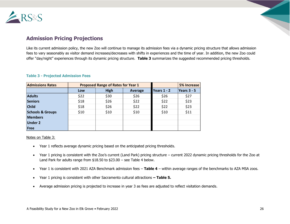

# **Admission Pricing Projections**

Like its current admission policy, the new Zoo will continue to manage its admission fees via a dynamic pricing structure that allows admission fees to vary seasonably as visitor demand increases/decreases with shifts in experiences and the time of year. In addition, the new Zoo could offer "day/night" experiences through its dynamic pricing structure. **Table 3** summarizes the suggested recommended pricing thresholds.

| <b>Admissions Rates</b>     |      | <b>Proposed Range of Rates for Year 1</b> |         | 5% Increase        |               |
|-----------------------------|------|-------------------------------------------|---------|--------------------|---------------|
|                             | Low  | <b>High</b>                               | Average | <b>Years 1 - 2</b> | Years $3 - 5$ |
| <b>Adults</b>               | \$22 | \$30                                      | \$26    | \$26               | \$27          |
| <b>Seniors</b>              | \$18 | \$26                                      | \$22    | \$22               | \$23          |
| <b>Child</b>                | \$18 | \$26                                      | \$22    | \$22               | \$23          |
| <b>Schools &amp; Groups</b> | \$10 | \$10                                      | \$10    | \$10               | \$11          |
| <b>Members</b>              |      |                                           |         |                    |               |
| <b>Under 2</b>              |      |                                           |         |                    |               |
| Free                        |      |                                           |         |                    |               |

#### **Table 3 - Projected Admission Fees**

Notes on Table 3:

- Year 1 reflects average dynamic pricing based on the anticipated pricing thresholds.
- Year 1 pricing is consistent with the Zoo's current (Land Park) pricing structure current 2022 dynamic pricing thresholds for the Zoo at Land Park for adults range from \$18.50 to \$23.00 – see Table 4 below.
- Year 1 is consistent with 2021 AZA Benchmark admission fees **Table 4** within average ranges of the benchmarks to AZA MSA zoos.
- Year 1 pricing is consistent with other Sacramento cultural attractions **– Table 5.**
- Average admission pricing is projected to increase in year 3 as fees are adjusted to reflect visitation demands.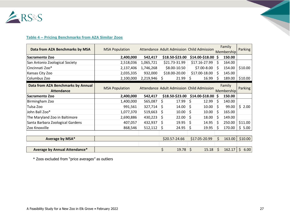

#### **Table 4 – Pricing Benchmarks from AZA Similar Zoos**

| Data from AZA Benchmarks by MSA                         | <b>MSA Population</b> | Attendance Adult Admission Child Admission |                                            |                 |    | Family<br>Membership | Parking    |
|---------------------------------------------------------|-----------------------|--------------------------------------------|--------------------------------------------|-----------------|----|----------------------|------------|
| Sacramento Zoo                                          | 2,400,000             | 542,417                                    | \$18.50-\$23.00                            | \$14.00-\$18.00 | S  | 150.00               |            |
| San Antonio Zoological Society                          | 2,518,036             | 1,065,721                                  | \$21.73-31.99                              | \$17.16-27.99   | S. | 164.00               |            |
| Cincinnati Zoo*                                         | 2,137,406             | 1,746,268                                  | \$8.00-10.50                               | \$7.00-8.00     | Ś. | 154.00               | \$10.00    |
| Kansas City Zoo                                         | 2,035,335             | 932,000                                    | \$18.00-20.00                              | \$17.00-18.00   | S  | 145.00               |            |
| Columbus Zoo                                            | 2,100,000             | $2,219,946$ \$                             | $21.99$ \$                                 | 16.99           | S  | 189.00               | \$10.00    |
| Data from AZA Benchmarks by Annual<br><b>Attendance</b> | <b>MSA Population</b> |                                            | Attendance Adult Admission Child Admission |                 |    | Family<br>Membership | Parking    |
| Sacramento Zoo                                          | 2,400,000             | 542,417                                    | \$18.50-\$23.00                            | \$14.00-\$18.00 | \$ | 150.00               |            |
| Birmingham Zoo                                          | 1,400,000             | 565,087                                    | \$<br>17.99                                | \$<br>12.99     | \$ | 140.00               |            |
| Tulsa Zoo                                               | 991,561               | 327,714                                    | \$<br>14.00                                | 10.00<br>\$     | S  | 99.00                | \$2.00     |
| John Ball Zoo*                                          | 1,077,370             | 519,663                                    | \$<br>10.00                                | \$<br>10.00     | S  | 165.00               |            |
| The Maryland Zoo in Baltimore                           | 2,690,886             | 430,223                                    | \$<br>22.00                                | \$<br>18.00     | \$ | 149.00               |            |
| Santa Barbara Zoological Gardens                        | 407,057               | 432,937                                    | \$<br>19.95                                | \$<br>14.95     | S  | 250.00               | \$11.00    |
| Zoo Knoxville                                           | 868,546               | 512,112                                    | 24.95<br>\$                                | \$<br>19.95     | Ś  | 170.00               | \$5.00     |
|                                                         |                       |                                            |                                            |                 |    |                      |            |
| Average by MSA*                                         |                       |                                            | \$20.57-24.66                              | \$17.05-20.99   | Ś. | 163.00               | \$10.00    |
|                                                         |                       |                                            |                                            |                 |    |                      |            |
| Average by Annual Attendance*                           |                       |                                            | \$<br>19.78                                | \$<br>15.18     | Ś  | 162.17               | \$<br>6.00 |

\* Zoos excluded from "price averages" as outliers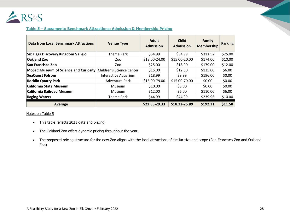

#### **Table 5 – Sacramento Benchmark Attractions: Admission & Membership Pricing**

| <b>Data from Local Benchmark Attractions</b> | <b>Venue Type</b>                | <b>Adult</b><br><b>Admission</b> | <b>Child</b><br><b>Admission</b> | Family<br><b>Membership</b> | Parking |
|----------------------------------------------|----------------------------------|----------------------------------|----------------------------------|-----------------------------|---------|
| Six Flags Discovery Kingdom Vallejo          | Theme Park                       | \$34.99                          | \$34.99                          | \$311.52                    | \$25.00 |
| <b>Oakland Zoo</b>                           | Zoo                              | \$18.00-24.00                    | \$15.00-20.00                    | \$174.00                    | \$10.00 |
| San Francisco Zoo                            | Zoo                              | \$25.00                          | \$18.00                          | \$179.00                    | \$12.00 |
| MoSaC: Museum of Science and Curiosity       | <b>Children's Science Center</b> | \$15.00                          | \$12.00                          | \$135.00                    | \$6.00  |
| <b>SeaQuest Folsom</b>                       | Interactive Aquarium             | \$18.99                          | \$9.99                           | \$196.00                    | \$0.00  |
| <b>Rocklin Quarry Park</b>                   | <b>Adventure Park</b>            | \$15.00-79.00                    | \$15.00-79.00                    | \$0.00                      | \$0.00  |
| <b>California State Museum</b>               | Museum                           | \$10.00                          | \$8.00                           | \$0.00                      | \$0.00  |
| <b>California Railroad Museum</b>            | Museum                           | \$12.00                          | \$6.00                           | \$110.00                    | \$6.00  |
| <b>Raging Waters</b>                         | Theme Park                       | \$44.99                          | \$44.99                          | \$239.96                    | \$10.00 |
| Average                                      |                                  | \$21.55-29.33                    | \$18.22-25.89                    | \$192.21                    | \$11.50 |

Notes on Table 5

- This table reflects 2021 data and pricing.
- The Oakland Zoo offers dynamic pricing throughout the year.
- The proposed pricing structure for the new Zoo aligns with the local attractions of similar size and scope (San Francisco Zoo and Oakland Zoo).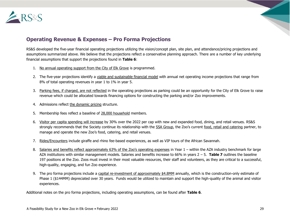

# **Operating Revenue & Expenses – Pro Forma Projections**

RS&S developed the five-year financial operating projections utilizing the vision/concept plan, site plan, and attendance/pricing projections and assumptions summarized above. We believe that the projections reflect a conservative planning approach. There are a number of key underlying financial assumptions that support the projections found in **Table 6**:

- 1. No annual operating support from the City of Elk Grove is programmed.
- 2. The five-year projections identify a viable and sustainable financial model with annual net operating income projections that range from 8% of total operating revenues in year 1 to 1% in year 5.
- 3. Parking fees, if charged, are not reflected in the operating projections as parking could be an opportunity for the City of Elk Grove to raise revenue which could be allocated towards financing options for constructing the parking and/or Zoo improvements.
- 4. Admissions reflect the dynamic pricing structure.
- 5. Membership fees reflect a baseline of 28,000 household members.
- 6. Visitor per capita spending will increase by 30% over the 2022 per cap with new and expanded food, dining, and retail venues. RS&S strongly recommends that the Society continue its relationship with the SSA Group, the Zoo's current food, retail and catering partner, to manage and operate the new Zoo's food, catering, and retail venues.
- 7. Rides/Encounters include giraffe and rhino fee-based experiences, as well as VIP tours of the African Savannah.
- 8. Salaries and benefits reflect approximately 63% of the Zoo's operating expenses in Year 1 within the AZA industry benchmark for large AZA institutions with similar management models. Salaries and benefits increase to 66% in years 2 – 5. **Table 7** outlines the baseline 197 positions at the Zoo. Zoos must invest in their most valuable resources, their staff and volunteers, as they are critical to a successful, high-quality, engaging, and fun Zoo experience.
- 9. The pro forma projections include a capital re-investment of approximately \$4.8MM annually, which is the construction-only estimate of Phase 1 (\$144MM) depreciated over 30 years. Funds would be utilized to maintain and support the high-quality of the animal and visitor experiences.

Additional notes on the pro forma projections, including operating assumptions, can be found after **Table 6**.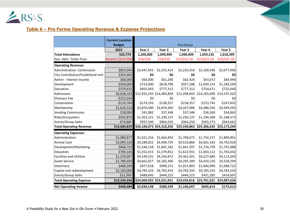

# **Table 6 – Pro Forma Operating Revenue & Expense Projections**

|                                   | <b>Current Location</b> |             |                           |              |                                        |              |
|-----------------------------------|-------------------------|-------------|---------------------------|--------------|----------------------------------------|--------------|
|                                   | <b>Budget</b>           |             |                           | Pro Forma    |                                        |              |
|                                   | 2022                    | Year 1      | Year 2                    | Year 3       | Year 4                                 | Year 5       |
| <b>Total Attendance</b>           | 525,773                 | 1,200,000   | 1,090,909                 | 1,090,909    | 1,059,135                              | 1,018,399    |
| Gen. Adm. Ticket Price            | Dynamic (\$14-\$30)     | \$18/\$30   | \$18/\$30                 | \$19/\$31.50 | \$19/\$31.50                           | \$19/\$31.50 |
| <b>Operating Revenue:</b>         |                         |             |                           |              |                                        |              |
| Administration- Commission        | \$825,044               | \$2,447,955 | \$2,225,414               | \$2,225,414  | \$2,160,596                            | \$2,077,496  |
| City Contribution/Funderland rent | \$354,465               | \$0         | \$0                       | \$0          | \$0                                    | \$0          |
| Admin - Interest Income           | \$60,000                | \$60,000    | \$61,200                  | \$62,424     | \$63,672                               | \$64,946     |
| Development                       | \$504,000               | \$723,000   | \$818,798                 | \$927,288    | \$1,050,154                            | \$1,189,299  |
| Education                         | \$374,632               | \$855,043   | \$777,312                 | \$777,312    | \$754,671                              | \$725,646    |
| Admissions                        | \$6,638,103             |             | \$15,932,235 \$14,483,850 | \$15,208,043 | \$14,765,090                           | \$14,197,202 |
| Dinosaur Fee                      | $-$252,034$             | \$0         | \$0                       | \$0          | \$0                                    | \$0          |
| Conservation                      | $-$119,764$             | $-$174,193$ | $-$158,357$               | $-$158,357$  | $-$153,745$                            | $-$147,832$  |
| Membership                        | \$1,616,510             | \$3,870,300 | \$3,870,300               | \$4,267,006  | \$4,480,356                            | \$4,939,593  |
| <b>Vending Commission</b>         | \$18,000                | \$41,082    | \$37,348                  | \$37,348     | \$36,260                               | \$34,865     |
| Rides/Encounters                  | \$592,875               | \$1,353,151 | \$1,230,137               | \$1,230,137  | \$1,194,308                            | \$1,148,373  |
| Events/Group Sales                | \$73,000                | \$997,500   | \$964,250                 | \$964,250    | \$955,273                              | \$943,662    |
| <b>Total Operating Revenue</b>    | \$10,684,829            |             | \$26,106,073 \$24,310,250 | \$25,540,863 | \$25,306,635                           | \$25,173,249 |
| <b>Operating Expenses:</b>        |                         |             |                           |              |                                        |              |
| Administration                    | \$1,080,877             | \$1,621,316 | \$1,664,403               | \$1,708,673  | \$1,754,157                            | \$1,800,891  |
| <b>Animal Care</b>                | \$2,094,526             | \$4,289,052 | \$4,409,729               | \$4,533,866  | \$4,661,563                            | \$4,792,926  |
| Development/Marketing             | \$660,752               | \$1,546,158 | \$1,602,182               | \$1,661,597  | \$1,724,739                            | \$1,791,988  |
| Education                         | \$769,105               | \$1,552,415 | \$1,579,852               | \$1,622,931  | \$1,663,112                            | \$1,703,442  |
| <b>Facilities and Utilities</b>   | \$1,259,047             | \$4,149,331 | \$4,254,872               | \$4,363,201  | \$4,227,685                            | \$4,113,343  |
| <b>Guest Service</b>              | \$1,780,030             | \$4,662,657 | \$4,183,306               | \$4,295,189  | \$4,410,156                            | \$4,528,294  |
| Veterinary                        | \$488,509               | \$977,018   | \$999,151                 | \$1,021,803  | \$1,044,990                            | \$1,068,722  |
| Capital and redevelopment         | \$2,100,000             | \$4,783,333 | \$4,783,333               | \$4,783,333  | \$4,783,333                            | \$4,783,333  |
| Events/Group Sales                | \$11,500                | \$488,645   | \$444,223                 | \$444,223    | \$431,285                              | \$414,697    |
| <b>Total Operating Expense</b>    | \$10,244,346            |             | \$24,069,925 \$23,921,051 |              | \$24,434,816 \$24,701,021 \$24,997,636 |              |
| <b>Net Operating Income</b>       | \$440,484               | \$2,036,148 | \$389,199                 | \$1,106,047  | \$605,614                              | \$175,613    |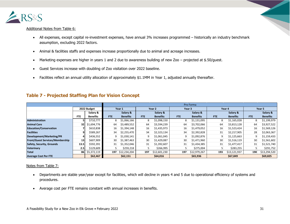

#### Additional Notes from Table 6:

- All expenses, except capital re-investment expenses, have annual 3% increases programmed historically an industry benchmark assumption, excluding 2022 factors.
- Animal & facilities staffs and expenses increase proportionally due to animal and acreage increases.
- Marketing expenses are higher in years 1 and 2 due to awareness building of new Zoo projected at \$.50/guest.
- Guest Services increase with doubling of Zoo visitation over 2022 baseline.
- Facilities reflect an annual utility allocation of approximately \$1.1MM in Year 1, adjusted annually thereafter.

|                                        |             |                 |        | Pro Forma       |                   |                 |        |                 |        |                 |        |                 |  |
|----------------------------------------|-------------|-----------------|--------|-----------------|-------------------|-----------------|--------|-----------------|--------|-----------------|--------|-----------------|--|
|                                        | 2022 Budget |                 | Year 1 |                 | Year <sub>2</sub> |                 | Year 3 |                 | Year 4 |                 | Year 5 |                 |  |
|                                        |             | Salary &        |        | Salary &        |                   | Salary &        |        | Salary &        |        | Salary &        |        | Salary &        |  |
|                                        | <b>FTE</b>  | <b>Benefits</b> | FTE:   | <b>Benefits</b> | <b>FTE</b>        | <b>Benefits</b> | FTE.   | <b>Benefits</b> | FTE.   | <b>Benefits</b> | FTE    | <b>Benefits</b> |  |
| <b>Administration</b>                  |             | \$710,777       | 8      | \$1,066,166     | 8                 | \$1,098,150     | 8      | \$1,131,095     | 8      | \$1,165,028     | 8      | \$1,199,979     |  |
| <b>Animal Care</b>                     | 32          | \$1,694,776     | 64     | \$3,489,552     | 64                | \$3,594,239     | 64     | \$3,702,066     | 64     | \$3,813,128     | 64     | \$3,927,522     |  |
| <b>Education/Conservation</b>          |             | \$610,838       | 16     | \$1,394,148     | 16                | \$1,435,973     | 16     | \$1,479,052     | 16     | \$1,523,424     | 16     | \$1,569,126     |  |
| <b>Facilities</b>                      |             | \$589,267       | 34     | \$2,255,470     | 34                | \$2,323,134     | 34     | \$2,392,828     | 31     | \$2,217,905     | 28     | \$2,063,367     |  |
| Development/Marketing/PR               |             | \$436,552       | 9      | \$1,030,141     | 9                 | \$1,061,045     | 9      | \$1,092,876     | 9      | \$1,125,663     | 9      | \$1,159,433     |  |
| <b>Front/Guest Services/Membership</b> | 13          | \$607,909       | 30     | \$1,387,463     | 30                | \$1,429,087     | 30     | \$1,471,960     | 30     | \$1,516,119     | 30     | \$1,561,602     |  |
| Safety, Security, Grounds              | 13.5        | \$592,391       | 31     | \$1,352,046     | 31                | \$1,392,607     | 31     | \$1,434,385     | 31     | \$1,477,417     | 31     | \$1,521,740     |  |
| <b>Veterinary</b>                      | 2.5         | \$129,609       |        | \$259,218       |                   | \$266,995       |        | \$275,004       |        | \$283,255       | 5      | \$291,752       |  |
| <b>Total</b>                           | 86          | \$5,372,119     | 197    | \$12,234,204    | 197               | \$12,601,230    | 197    | \$12,979,267    | 193    | \$13,121,937    | 190    | \$13,294,520    |  |
| <b>Average Cost Per FTE</b>            |             | \$62,467        |        | \$62,151        |                   | \$64,016        |        | \$65,936        |        | \$67,849        |        | \$69,825        |  |

#### **Table 7 - Projected Staffing Plan for Vision Concept**

#### Notes from Table 7:

- Departments are stable year/year except for facilities, which will decline in years 4 and 5 due to operational efficiency of systems and procedures.
- Average cost per FTE remains constant with annual increases in benefits.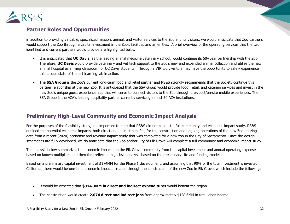

# **Partner Roles and Opportunities**

in addition to providing valuable, specialized mission, animal, and visitor services to the Zoo and its visitors, we would anticipate that Zoo partners would support the Zoo through a capital investment in the Zoo's facilities and amenities. A brief overview of the operating services that the two identified and current partners would provide are highlighted below:

- It is anticipated that **UC Davis,** as the leading animal medicine veterinary school, would continue its 50+year partnership with the Zoo. Therefore, **UC Davis** would provide veterinary and vet tech support to the Zoo's new and expanded animal collection and utilize the new animal hospital as a living classroom for UC Davis students. Through a VIP tour, visitors may have the opportunity to safely experience this unique state-of-the-art learning lab in action.
- The **SSA Group** is the Zoo's current long-term food and retail partner and RS&S strongly recommends that the Society continue this partner relationship at the new Zoo. It is anticipated that the SSA Group would provide food, retail, and catering services and invest in the new Zoo's unique guest experience app that will serve to connect visitors to the Zoo through pre-/post/on-site mobile experiences. The SSA Group is the AZA's leading hospitality partner currently servicing almost 50 AZA institutions.

# **Preliminary High-Level Community and Economic Impact Analysis**

For the purposes of the feasibility study, it is important to note that RS&S did not conduct a full community and economic impact study. RS&S outlined the potential economic impacts, both direct and indirect benefits, for the construction and ongoing operations of the new Zoo utilizing data from a recent (2020) economic and revenue impact study that was completed for a new zoo in the City of Sacramento. Once the design schematics are fully developed, we do anticipate that the Zoo and/or City of Elk Grove will complete a full community and economic impact study.

The analysis below summarizes the economic impacts on the Elk Grove community from the capital investment and annual operating expenses based on known multipliers and therefore reflects a high-level analysis based on the preliminary site and funding models.

Based on a preliminary capital investment of \$174MM for the Phase 1 development, and assuming that 90% of the total investment is invested in California, there would be one-time economic impacts created through the construction of the new Zoo in Elk Grove, which include the following:

- It would be expected that **\$314.3MM in direct and indirect expenditures** would benefit the region.
- The construction would create **2,074 direct and indirect jobs** from approximately \$128.6MM in total labor income.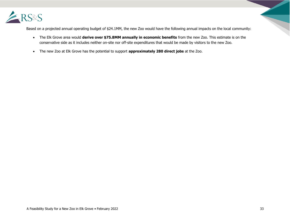

Based on a projected annual operating budget of \$24.1MM, the new Zoo would have the following annual impacts on the local community:

- The Elk Grove area would **derive over \$75.8MM annually in economic benefits** from the new Zoo. This estimate is on the conservative side as it includes neither on-site nor off-site expenditures that would be made by visitors to the new Zoo.
- The new Zoo at Elk Grove has the potential to support **approximately 280 direct jobs** at the Zoo.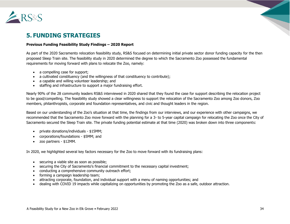

# **5. FUNDING STRATEGIES**

#### **Previous Funding Feasibility Study Findings – 2020 Report**

As part of the 2020 Sacramento relocation feasibility study, RS&S focused on determining initial private sector donor funding capacity for the then proposed Sleep Train site. The feasibility study in 2020 determined the degree to which the Sacramento Zoo possessed the fundamental requirements for moving forward with plans to relocate the Zoo, namely:

- a compelling case for support;
- a cultivated constituency (and the willingness of that constituency to contribute);
- a capable and willing volunteer leadership; and
- staffing and infrastructure to support a major fundraising effort.

Nearly 90% of the 28 community leaders RS&S interviewed in 2020 shared that they found the case for support describing the relocation project to be good/compelling. The feasibility study showed a clear willingness to support the relocation of the Sacramento Zoo among Zoo donors, Zoo members, philanthropists, corporate and foundation representatives, and civic and thought leaders in the region.

Based on our understanding of the Zoo's situation at that time, the findings from our interviews, and our experience with other campaigns, we recommended that the Sacramento Zoo move forward with the planning for a 3- to 5-year capital campaign for relocating the Zoo once the City of Sacramento secured the Sleep Train site. The private funding potential estimate at that time (2020) was broken down into three components:

- private donations/individuals \$15MM;
- corporations/foundations \$5MM; and
- zoo partners \$12MM.

In 2020, we highlighted several key factors necessary for the Zoo to move forward with its fundraising plans:

- securing a viable site as soon as possible;
- securing the City of Sacramento's financial commitment to the necessary capital investment;
- conducting a comprehensive community outreach effort;
- forming a campaign leadership team;
- attracting corporate, foundation, and individual support with a menu of naming opportunities; and
- dealing with COVID 19 impacts while capitalizing on opportunities by promoting the Zoo as a safe, outdoor attraction.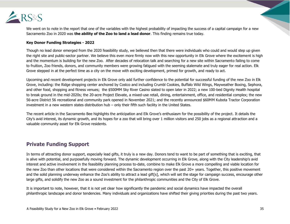

We went on to note in the report that one of the variables with the highest probability of impacting the success of a capital campaign for a new Sacramento Zoo in 2020 was **the ability of the Zoo to land a lead donor**. This finding remains true today.

#### **Key Donor Funding Strategies - 2022**

Though no lead donor emerged from the 2020 feasibility study, we believed then that there were individuals who could and would step up given the right site and public-sector partner. We believe this even more firmly now with this new opportunity in Elk Grove where the excitement is high and the momentum is building for the new Zoo. After decades of relocation talk and searching for a new site within Sacramento failing to come to fruition, Zoo friends, donors, and community members were growing fatigued with the seeming stalemate and truly eager for real action. Elk Grove stepped in at the perfect time as a city on the move with exciting development, primed for growth, and ready to act.

Upcoming and recent development projects in Elk Grove only add further confidence to the potential for successful funding of the new Zoo in Elk Grove, including: the Ridge shopping center anchored by Costco and including Crumbl Cookies, Buffalo Wild Wings, Mayweather Boxing, Sephora, and other food, shopping and fitness venues; the \$500MM Sky River Casino slated to open later in 2022; a new 100-bed Dignity Health hospital to break ground in the mid-2020s; the 20-acre Project Elevate, a mixed-use retail, dining, entertainment, office, and residential complex; the new 56-acre District 56 recreational and community park opened in November 2021; and the recently announced \$60MM Kubota Tractor Corporation investment in a new western states distribution hub – only their fifth such facility in the United States.

The recent article in the Sacramento Bee highlights the anticipation and Elk Grove's enthusiasm for the possibility of the project. It details the City's avid interest, its dynamic growth, and its hopes for a zoo that will bring over 1 million visitors and 250 jobs as a regional attraction and a valuable community asset for Elk Grove residents.

#### **Private Funding Support**

In terms of attracting donor support, especially lead gifts, it truly is a new day. Donors tend to want to be part of something that is exciting, that is alive with potential, and purposefully moving forward. The dynamic development occurring in Elk Grove, along with the City leadership's avid interest and active involvement in the feasibility planning process to-date, combine to make Elk Grove a more compelling and viable location for the new Zoo than other locations that were considered within the Sacramento region over the past 20+ years. Together, this positive movement and the solid planning underway enhance the Zoo's ability to attract a lead gift[s], which will set the stage for campaign success, encourage other large gifts, and solidify the new Zoo as a sound investment for the philanthropic communities and the City of Elk Grove.

It is important to note, however, that it is not yet clear how significantly the pandemic and social dynamics have impacted the overall philanthropic landscape and donor tendencies. Many individuals and organizations have shifted their giving priorities during the past two years.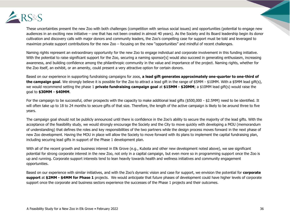

These uncertainties present the new Zoo with both challenges (competition with serious social issues) and opportunities (potential to engage new audiences in an exciting new initiative – one that has not been created in almost 40 years). As the Society and its Board leadership begin its donor cultivation and discovery calls with major donors and community leaders, the Zoo's compelling case for support must be told and leveraged to maximize private support contributions for the new Zoo – focusing on the new "opportunities" and mindful of recent challenges.

Naming rights represent an extraordinary opportunity for the new Zoo to engage individual and corporate involvement in this funding initiative. With the potential to raise significant support for the Zoo, securing a naming sponsor[s] would also succeed in generating enthusiasm, increasing awareness, and building confidence among the philanthropic community in the value and importance of the project. Naming rights, whether for the Zoo itself, an exhibit, or an amenity, could present a very attractive option for certain donors.

Based on our experience in supporting fundraising campaigns for zoos, **a lead gift generates approximately one-quarter to one-third of the campaign goal**. We strongly believe it is possible for the Zoo to attract a lead gift in the range of \$5MM - \$10MM. With a \$5MM lead gift(s), we would recommend setting the phase 1 **private fundraising campaign goal** at **\$15MM - \$20MM**; a \$10MM lead gift(s) would raise the goal to **\$30MM - \$40MM**.

For the campaign to be successful, other prospects with the capacity to make additional lead gifts (\$500,000 - \$2.5MM) need to be identified. It will often take up to 18 to 24 months to secure gifts of that size. Therefore, the length of the active campaign is likely to be around three to five years.

The campaign goal should not be publicly announced until there is confidence in the Zoo's ability to secure the majority of the lead gifts. With the acceptance of the feasibility study, we would strongly encourage the Society and the City to move quickly with developing a MOU (memorandum of understanding) that defines the roles and key responsibilities of the two partners while the design process moves forward in the next phase of new Zoo development. Having the MOU in place will allow the Society to move forward with its plans to implement the capital fundraising plan, including securing lead gifts in support of the Phase 1 development plan.

With all of the recent growth and business interest in Elk Grove (e.g., Kubota and other new development noted above), we see significant potential for strong corporate interest in the new Zoo, not only in a capital campaign, but even more so in programming support once the Zoo is up and running. Corporate support interests tend to lean heavily towards health and wellness initiatives and community engagement opportunities.

Based on our experience with similar initiatives, and with the Zoo's dynamic vision and case for support, we envision the potential for **corporate support** at **\$2MM - \$4MM for Phase 1** projects. We would anticipate that future phases of development could have higher levels of corporate support once the corporate and business sectors experience the successes of the Phase 1 projects and their outcomes.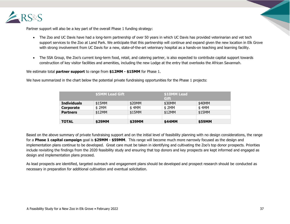

Partner support will also be a key part of the overall Phase 1 funding strategy:

- The Zoo and UC Davis have had a long-term partnership of over 50 years in which UC Davis has provided veterinarian and vet tech support services to the Zoo at Land Park. We anticipate that this partnership will continue and expand given the new location in Elk Grove with strong involvement from UC Davis for a new, state-of-the-art veterinary hospital as a hands-on teaching and learning facility.
- The SSA Group, the Zoo's current long-term food, retail, and catering partner, is also expected to contribute capital support towards construction of key visitor facilities and amenities, including the new Lodge at the entry that overlooks the African Savannah.

We estimate total **partner support** to range from **\$12MM - \$15MM** for Phase 1.

|                    | <b>\$5MM Lead Gift</b> |        | <b>Gift</b> | \$10MM Lead |  |  |  |  |  |
|--------------------|------------------------|--------|-------------|-------------|--|--|--|--|--|
| <b>Individuals</b> | \$15MM                 | \$20MM | \$30MM      | \$40MM      |  |  |  |  |  |
| Corporate          | \$ 2MM                 | \$4MM  | \$ 2MM      | \$4MM       |  |  |  |  |  |
| <b>Partners</b>    | \$12MM                 | \$15MM | \$12MM      | \$15MM      |  |  |  |  |  |
|                    |                        |        |             |             |  |  |  |  |  |
| <b>TOTAL</b>       | \$29MM                 | \$39MM | \$44MM      | \$59MM      |  |  |  |  |  |

We have summarized in the chart below the potential private fundraising opportunities for the Phase 1 projects:

Based on the above summary of private fundraising support and on the initial level of feasibility planning with no design considerations, the range for a **Phase 1 capital campaign** goal is **\$29MM - \$59MM**. This range will become much more narrowly focused as the design and implementation plans continue to be developed. Great care must be taken in identifying and cultivating the Zoo's top donor prospects. Priorities include revisiting the findings from the 2020 feasibility study and ensuring that top donors and key prospects are kept informed and engaged as design and implementation plans proceed.

As lead prospects are identified, targeted outreach and engagement plans should be developed and prospect research should be conducted as necessary in preparation for additional cultivation and eventual solicitation.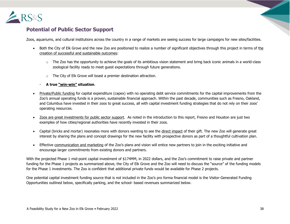

# **Potential of Public Sector Support**

Zoos, aquariums, and cultural institutions across the country in a range of markets are seeing success for large campaigns for new sites/facilities.

- Both the City of Elk Grove and the new Zoo are positioned to realize a number of significant objectives through this project in terms of the creation of successful and sustainable outcomes:
	- $\circ$  The Zoo has the opportunity to achieve the goals of its ambitious vision statement and bring back iconic animals in a world-class zoological facility ready to meet guest expectations through future generations.
	- o The City of Elk Grove will boast a premier destination attraction.
	- **A true "win-win" situation**.
- Private/Public funding for capital expenditure (capex) with no operating debt service commitments for the capital improvements from the Zoo's annual operating funds is a proven, sustainable financial approach. Within the past decade, communities such as Fresno, Oakland, and Columbus have invested in their zoos to great success, all with capital investment funding strategies that do not rely on their zoos' operating resources.
- Zoos are great investments for public sector support. As noted in the introduction to this report, Fresno and Houston are just two examples of how cities/regional authorities have recently invested in their zoos.
- Capital (bricks and mortar) resonates more with donors wanting to see the direct impact of their gift. The new Zoo will generate great interest by sharing the plans and concept drawings for the new facility with prospective donors as part of a thoughtful cultivation plan.
- Effective communication and marketing of the Zoo's plans and vision will entice new partners to join in the exciting initiative and encourage larger commitments from existing donors and partners.

With the projected Phase 1 mid-point capital investment of \$174MM, in 2022 dollars, and the Zoo's commitment to raise private and partner funding for the Phase 1 projects as summarized above, the City of Elk Grove and the Zoo will need to discuss the "source" of the funding models for the Phase 1 investments. The Zoo is confident that additional private funds would be available for Phase 2 projects.

One potential capital investment funding source that is not included in the Zoo's pro forma financial model is the Visitor-Generated Funding Opportunities outlined below, specifically parking, and the school- based revenues summarized below.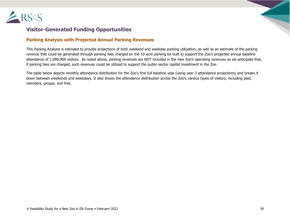

# **Visitor-Generated Funding Opportunities**

#### **Parking Analysis with Projected Annual Parking Revenues**

This Parking Analysis is intended to provide projections of both weekend and weekday parking utilization, as well as an estimate of the parking revenue that could be generated through parking fees charged on the 10-acre parking lot built to support the Zoo's projected annual baseline attendance of 1,090,909 visitors. As noted above, parking revenues are NOT included in the new Zoo's operating revenues as we anticipate that, if parking fees are charged, such revenues could be utilized to support the public-sector capital investment in the Zoo.

The table below depicts monthly attendance distribution for the Zoo's first full baseline year (using year 3 attendance projections) and breaks it down between weekends and weekdays. It also shows the attendance distribution across the Zoo's various types of visitors, including paid, members, groups, and free.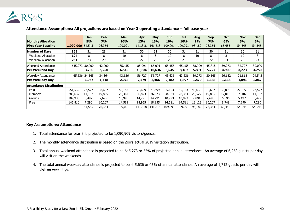

|                                |                | <b>Jan</b> | Feb    | <b>Mar</b> | Apr     | May     | <b>Jun</b> | Jul     | Aug    | <b>Sep</b> | Oct    | <b>Nov</b> | <b>Dec</b> |
|--------------------------------|----------------|------------|--------|------------|---------|---------|------------|---------|--------|------------|--------|------------|------------|
| <b>Monthly Allocation</b>      |                | 5%         | 7%     | 10%        | 13%     | 13%     | <b>10%</b> | 10%     | 9%     | 7%         | 6%     | 5%         | 5%         |
| <b>First Year Baseline</b>     | 1,090,909      | 54,545     | 76,364 | 109,091    | 141,818 | 141,818 | 109,091    | 109,091 | 98,182 | 76,364     | 65,455 | 54,545     | 54,545     |
| <b>Number of Days</b>          | 365            | 31         | 28     | 31         | 30      | 31      | 30         | 31      | 31     | 30         | 31     | 30         | 31         |
| Weekend Allocation             | 104            | 8          | 8      | 10         | 8       | 8       | 10         | 8       | 10     | 8          | 8      | 10         | 8          |
| <b>Weekday Allocation</b>      | 261            | 23         | 20     | 21         | 22      | 23      | 20         | 23      | 21     | 22         | 23     | 20         | 23         |
| Weekend Attendance             | 645,273        | 30,000     | 42,000 | 65,455     | 85,091  | 85,091  | 65,455     | 65,455  | 58,909 | 45,818     | 39,273 | 32,727     | 30,000     |
| <b>Per Weekend Day</b>         |                | 3,750      | 5,250  | 6,545      | 10,636  | 10,636  | 6,545      | 8,182   | 5,891  | 5,727      | 4,909  | 3,273      | 3,750      |
| <b>Weekday Attendance</b>      | 445,636 24,545 |            | 34,364 | 43,636     | 56,727  | 56,727  | 43,636     | 43,636  | 39,273 | 30,545     | 26,182 | 21,818     | 24,545     |
| Per Weekday Day                |                | 1,067      | 1,718  | 2,078      | 2,579   | 2,466   | 2,182      | 1,897   | 1,870  | 1,388      | 1,138  | 1,091      | 1,067      |
| <b>Attendance Distribution</b> |                |            |        |            |         |         |            |         |        |            |        |            |            |
| Paid                           | 551,532        | 27,577     | 38,607 | 55,153     | 71,699  | 71,699  | 55,153     | 55,153  | 49,638 | 38,607     | 33,092 | 27,577     | 27,577     |
| <b>Members</b>                 | 283,637        | 14,182     | 19,855 | 28,364     | 36,873  | 36,873  | 28,364     | 28,364  | 25,527 | 19,855     | 17,018 | 14,182     | 14,182     |
| Groups                         | 109,930        | 5,497      | 7,695  | 10,993     | 14,291  | 14,291  | 10,993     | 10,993  | 9,894  | 7,695      | 6,596  | 5,497      | 5,497      |
| Free                           | 145,810        | 7,290      | 10,207 | 14,581     | 18,955  | 18,955  | 14,581     | 14,581  | 13,123 | 10,207     | 8.749  | 7,290      | 7,290      |
|                                |                | 54,545     | 76,364 | 109,091    | 141,818 | 141,818 | 109,091    | 109,091 | 98,182 | 76,364     | 65,455 | 54,545     | 54,545     |

#### **Attendance Assumptions: All projections are based on Year 3 operating attendance – full base year**

#### **Key Assumptions: Attendance**

- 1. Total attendance for year 3 is projected to be 1,090,909 visitors/guests.
- 2. The monthly attendance distribution is based on the Zoo's actual 2019 visitation distribution.
- 3. Total annual weekend attendance is projected to be 645,273 or 55% of projected annual attendance. An average of 6,258 guests per day will visit on the weekends.
- 4. The total annual weekday attendance is projected to be 445,636 or 45% of annual attendance. An average of 1,712 guests per day will visit on weekdays.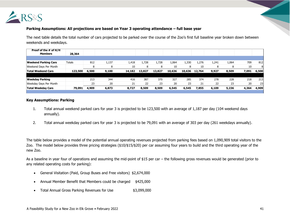

#### **Parking Assumptions: All projections are based on Year 3 operating attendance – full base year**

The next table details the total number of cars projected to be parked over the course of the Zoo's first full baseline year broken down between weekends and weekdays.

| Proof of the # of H/H<br><b>Members</b> | 28,364        |       |       |        |        |        |        |        |        |       |       |       |       |
|-----------------------------------------|---------------|-------|-------|--------|--------|--------|--------|--------|--------|-------|-------|-------|-------|
|                                         |               |       |       |        |        |        |        |        |        |       |       |       |       |
| <b>Weekend Parking Cars</b>             | <b>Totals</b> | 812   | 1,137 | 1,418  | 1,728  | 1,728  | 1,064  | 1,330  | 1,276  | 1,241 | 1,064 | 709   | 812   |
| Weekend Days Per Month                  |               | o     |       | 10     | 8      |        | 10     |        | 10     | 8     |       | 10    | 8     |
| <b>Total Weekend Cars</b>               | 123,500       | 6,500 | 9,100 | 14,182 | 13,827 | 13,827 | 10,636 | 10,636 | 12,764 | 9,927 | 8,509 | 7,091 | 6,500 |
|                                         |               |       |       |        |        |        |        |        |        |       |       |       |       |
| <b>Weekday Parking</b>                  |               | 213   | 344   | 416    | 387    | 370    | 327    | 285    | 374    | 278   | 228   | 218   | 213   |
| Weekday Days Per Month                  |               | 23    | 20    | 21     | 22     | 23     | 20     | 23     | 21     | 22    | 23    | 20    | 23    |
| <b>Total Weekday Cars</b>               | 79,091        | 4,909 | 6,873 | 8,727  | 8,509  | 8,509  | 6,545  | 6,545  | 7,855  | 6,109 | 5,236 | 4,364 | 4,909 |

#### **Discount Rate - 12% <b>24,311 Parking Feese 12,311 24,311 28,364 24,364 24,364 24,364 24,364 24,364 24,364 24,364**

- 1. Total annual weekend parked cars for year 3 is projected to be 123,500 with an average of 1,187 per day (104 weekend days **\$15 \$2,674,200 \$15 \$425,456 \$3,099,656** annually).
- 2. Total annual weekday parked cars for year 3 is projected to be 79,091 with an average of 303 per day (261 weekdays annually).

The table below provides a model of the potential annual operating revenues projected from parking fees based on 1,090,909 total visitors to the Zoo. The model below provides three pricing strategies (\$10/\$15/\$20) per car assuming four years to build and the third operating year of the new Zoo.

As a baseline in year four of operations and assuming the mid-point of \$15 per car – the following gross revenues would be generated (prior to any related operating costs for parking):

- General Visitation (Paid, Group Buses and Free visitors) \$2,674,000
- Annual Member Benefit that Members could be charged \$425,000
- Total Annual Gross Parking Revenues for Use \$3,099,000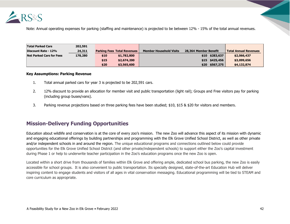

Note: Annual operating expenses for parking (staffing and maintenance) is projected to be between 12% - 15% of the total annual revenues.

| <b>Total Parked Cars</b>        | 202,591 |      |                                    |                                |                       |                |                              |
|---------------------------------|---------|------|------------------------------------|--------------------------------|-----------------------|----------------|------------------------------|
| Discount Rate - 12%             | 24,311  |      | <b>Parking Fees Total Revenues</b> | <b>Member Household Visits</b> | 28,364 Member Benefit |                | <b>Total Annual Revenues</b> |
| <b>Net Parked Cars for Fees</b> | 178,280 | \$10 | \$1,782,800                        |                                | \$10                  | \$283,637      | \$2,066,437                  |
|                                 |         | \$15 | \$2,674,200                        |                                |                       | \$15 \$425,456 | \$3,099,656                  |
|                                 |         | \$20 | \$3,565,600                        |                                | \$20                  | \$567,275      | \$4,132,874                  |

#### **Key Assumptions: Parking Revenue**

- 1. Total annual parked cars for year 3 is projected to be 202,591 cars.
- 2. 12% discount to provide an allocation for member visit and public transportation (light rail); Groups and Free visitors pay for parking (including group buses/vans).
- 3. Parking revenue projections based on three parking fees have been studied; \$10, \$15 & \$20 for visitors and members.

# **Mission-Delivery Funding Opportunities**

Education about wildlife and conservation is at the core of every zoo's mission. The new Zoo will advance this aspect of its mission with dynamic and engaging educational offerings by building partnerships and programming with the Elk Grove Unified School District, as well as other private and/or independent schools in and around the region. The unique educational programs and connections outlined below could provide opportunities for the Elk Grove Unified School District (and other private/independent schools) to support either the Zoo's capital investment during Phase 1 or help to underwrite teacher participation in the Zoo's education programs once the new Zoo is open.

Located within a short drive from thousands of families within Elk Grove and offering ample, dedicated school bus parking, the new Zoo is easily accessible for school groups. It is also convenient to public transportation. Its specially designed, state-of-the-art Education Hub will deliver inspiring content to engage students and visitors of all ages in vital conservation messaging. Educational programming will be tied to STEAM and core curriculum as appropriate.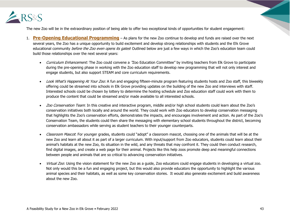

The new Zoo will be in the extraordinary position of being able to offer two exceptional kinds of opportunities for student engagement:

- 1. **Pre-Opening Educational Programming** As plans for the new Zoo continue to develop and funds are raised over the next several years, the Zoo has a unique opportunity to build excitement and develop strong relationships with students and the Elk Grove educational community before the Zoo even opens its gates! Outlined below are just a few ways in which the Zoo's education team could build those relationships over the next several years:
	- Curriculum Enhancement: The Zoo could convene a 'Zoo Education Committee" by inviting teachers from Elk Grove to participate during the pre-opening phase in working with the Zoo education staff to develop new programming that will not only interest and engage students, but also support STEAM and core curriculum requirements.
	- Look What's Happening At Your Zoo: A fun and engaging fifteen-minute program featuring students hosts and Zoo staff, this biweekly offering could be streamed into schools in Elk Grove providing updates on the building of the new Zoo and interviews with staff. Interested schools could be chosen by lottery to determine the hosting schedule and Zoo education staff could work with them to produce the content that could be streamed and/or made available to all interested schools.
	- Zoo Conservation Team: In this creative and interactive program, middle and/or high school students could learn about the Zoo's conservation initiatives both locally and around the world. They could work with Zoo educators to develop conservation messaging that highlights the Zoo's conservation efforts, demonstrates the impacts, and encourages involvement and action. As part of the Zoo's Conservation Team, the students could then share the messaging with elementary school students throughout the district, becoming conservation ambassadors while serving as student teachers to their younger counterparts.
	- Classroom Mascot: For younger grades, students could "adopt" a classroom mascot, choosing one of the animals that will be at the new Zoo and learn all about it as part of a larger curriculum. With input/support from Zoo educators, students could learn about their animal's habitats at the new Zoo, its situation in the wild, and any threats that may confront it. They could then conduct research, find digital images, and create a web page for their animal. Projects like this help zoos promote deep and meaningful connections between people and animals that are so critical to advancing conservation initiatives.
	- *Virtual Zoo*: Using the vision statement for the new Zoo as a guide, Zoo educators could engage students in developing a virtual zoo. Not only would this be a fun and engaging project, but this would also provide educators the opportunity to highlight the various animal species and their habitats, as well as some key conservation stories. It would also generate excitement and build awareness about the new Zoo.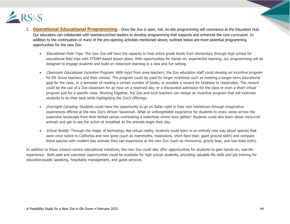

- 2. **Operational Educational Programming** Once the Zoo is open, full, on-site programming will commence at the Education Hub. Our educators can collaborate with teachers/school leaders to develop programming that supports and enhances the core curriculum. In addition to the continuation of many of the pre-opening activities mentioned above, outlined below are more potential programming opportunities for the new Zoo:
	- *Educational Field Trips:* The new Zoo will have the capacity to host entire grade levels from elementary through high school for educational field trips with STEAM-based lesson plans. With opportunities for hands-on, experiential learning, our programming will be designed to engage students and build on classroom learning in a new and fun setting.
	- Classroom Educational Incentive Program: With input from area teachers, the Zoo education staff could develop an incentive program for Elk Grove teachers and their classes. The program could be used for larger incentives such as meeting a longer-term educational goal for the class, or a semester of reading a certain number of books, or possibly a reward for kindness to classmates. The reward could be the use of a Zoo classroom for an hour on a reserved day, or a discounted admission for the class or even a short virtual program just for a specific class. Working together, the Zoo and local teachers can design an incentive program that will motivate students to do their best while highlighting the Zoo's offerings.
	- *Overnight Camping:* Students could have the opportunity to go on Safari right in their own hometown through imaginative experiences offered at the new Zoo's African Savannah. What an unforgettable experience for students to enjoy views across the expansive landscape from their tented camps overlooking a waterhole where lions gather! Students could also learn about nocturnal animals and get to see the action at breakfast as the animals begin their day.
	- *Virtual Reality:* Through the magic of technology like virtual reality, students could learn in an entirely new way about species that were once native to California and now gone (such as mammoths, mastodons, short-face bear, giant ground sloth) and compare these species with modern day animals they can experience at the new Zoo (such as rhinoceros, grizzly bear, and two-toed sloth).

In addition to these mission-centric educational initiatives, the new Zoo could also offer opportunities for students to gain hands-on, real-life experience. Both paid and volunteer opportunities could be available for high school students, providing valuable life skills and job training for education/public speaking, hospitality management, and guest services.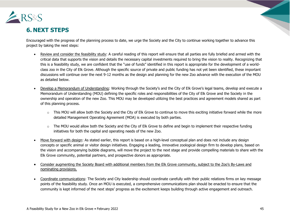

# **6. NEXT STEPS**

Encouraged with the progress of the planning process to date, we urge the Society and the City to continue working together to advance this project by taking the next steps:

- Review and consider the feasibility study: A careful reading of this report will ensure that all parties are fully briefed and armed with the critical data that supports the vision and details the necessary capital investments required to bring the vision to reality. Recognizing that this is a feasibility study, we are confident that the "use of funds" identified in this report is appropriate for the development of a worldclass zoo in the City of Elk Grove. Although the specific source of private and public funding has not yet been identified, these important discussions will continue over the next 9-12 months as the design and planning for the new Zoo advance with the execution of the MOU as detailed below.
- Develop a Memorandum of Understanding: Working through the Society's and the City of Elk Grove's legal teams, develop and execute a Memorandum of Understanding (MOU) defining the specific roles and responsibilities of the City of Elk Grove and the Society in the ownership and operation of the new Zoo. This MOU may be developed utilizing the best practices and agreement models shared as part of this planning process.
	- o This MOU will allow both the Society and the City of Elk Grove to continue to move this exciting initiative forward while the more detailed Management Operating Agreement (MOA) is executed by both parties.
	- $\circ$  The MOU would allow both the Society and the City of Elk Grove to define and begin to implement their respective funding initiatives for both the capital and operating needs of the new Zoo.
- Move forward with design: As stated earlier, this report is based on a high-level conceptual plan and does not include any design concepts or specific animal or visitor design initiatives. Engaging a leading, innovative zoological design firm to develop plans, based on the vision and accompanying bubble diagrams, will move the project to the next stage and provide compelling materials to share with the Elk Grove community, potential partners, and prospective donors as appropriate.
- Consider augmenting the Society Board with additional members from the Elk Grove community, subject to the Zoo's By-Laws and nominating provisions.
- Coordinate communications: The Society and City leadership should coordinate carefully with their public relations firms on key message points of the feasibility study. Once an MOU is executed, a comprehensive communications plan should be enacted to ensure that the community is kept informed of the next steps' progress as the excitement keeps building through active engagement and outreach.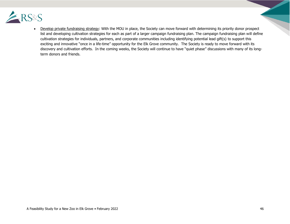

• Develop private fundraising strategy: With the MOU in place, the Society can move forward with determining its priority donor prospect list and developing cultivation strategies for each as part of a larger campaign fundraising plan. The campaign fundraising plan will define cultivation strategies for individuals, partners, and corporate communities including identifying potential lead gift(s) to support this exciting and innovative "once in a life-time" opportunity for the Elk Grove community. The Society is ready to move forward with its discovery and cultivation efforts. In the coming weeks, the Society will continue to have "quiet phase" discussions with many of its longterm donors and friends.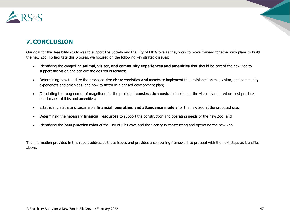

# **7. CONCLUSION**

Our goal for this feasibility study was to support the Society and the City of Elk Grove as they work to move forward together with plans to build the new Zoo. To facilitate this process, we focused on the following key strategic issues:

- Identifying the compelling **animal, visitor, and community experiences and amenities** that should be part of the new Zoo to support the vision and achieve the desired outcomes;
- Determining how to utilize the proposed **site characteristics and assets** to implement the envisioned animal, visitor, and community experiences and amenities, and how to factor in a phased development plan;
- Calculating the rough order of magnitude for the projected **construction costs** to implement the vision plan based on best practice benchmark exhibits and amenities;
- Establishing viable and sustainable **financial, operating, and attendance models** for the new Zoo at the proposed site;
- Determining the necessary **financial resources** to support the construction and operating needs of the new Zoo; and
- Identifying the **best practice roles** of the City of Elk Grove and the Society in constructing and operating the new Zoo.

The information provided in this report addresses these issues and provides a compelling framework to proceed with the next steps as identified above.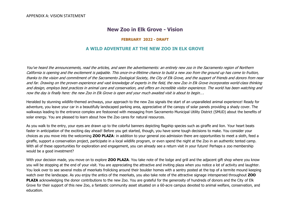# **New Zoo in Elk Grove - Vision**

#### **FEBRUARY 2022 - DRAFT**

#### **A WILD ADVENTURE AT THE NEW ZOO IN ELK GROVE**

You've heard the announcements, read the articles, and seen the advertisements: an entirely new zoo in the Sacramento region of Northern California is opening and the excitement is palpable. This once-in-a-lifetime chance to build a new zoo from the ground up has come to fruition, thanks to the vision and commitment of the Sacramento Zoological Society, the City of Elk Grove, and the support of friends and donors from near and far. Drawing on the proven experience and vast knowledge of experts in the field, the new Zoo in Elk Grove incorporates world-class thinking and design, employs best practices in animal care and conservation, and offers an incredible visitor experience. The world has been watching and now the day is finally here: the new Zoo in Elk Grove is open and your much awaited visit is about to begin….

Heralded by stunning wildlife-themed archways, your approach to the new Zoo signals the start of an unparalleled animal experience! Ready for adventure, you leave your car in a beautifully landscaped parking area, appreciative of the canopy of solar panels providing a shady cover. The walkways leading to the entrance complex are festooned with messaging from Sacramento Municipal Utility District (SMUD) about the benefits of solar energy. You are pleased to learn about how the Zoo cares for natural resources.

As you walk to the entry, your eyes are drawn up to the colorful banners depicting flagship species such as giraffe and lion. Your heart beats faster in anticipation of the exciting day ahead! Before you get started, though, you have some tough decisions to make. You consider your choices as you move into the welcoming **ZOO PLAZA**: in addition to your general zoo admission there are opportunities to meet a sloth, feed a giraffe, support a conservation project, participate in a local wildlife program, or even spend the night at the Zoo in an authentic tented camp. With all of these opportunities for exploration and engagement, you can already see a return visit in your future! Perhaps a zoo membership would be a good investment?

With your decision made, you move on to explore **ZOO PLAZA**. You take note of the lodge and grill and the adjacent gift shop where you know you will be stopping at the end of your visit. You are appreciating the attractive and inviting plaza when you notice a lot of activity and laughter. You look over to see several mobs of meerkats frolicking around their boulder homes with a sentry posted at the top of a termite mound keeping watch over the landscape. As you enjoy the antics of the meerkats, you also take note of the attractive signage interspersed throughout **ZOO PLAZA** acknowledging the donor contributions to the new Zoo. You are grateful for the generosity of hundreds of donors and the City of Elk Grove for their support of this new Zoo, a fantastic community asset situated on a 60-acre campus devoted to animal welfare, conservation, and education.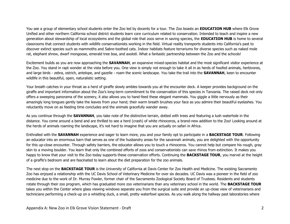You see a group of elementary school students enter the Zoo led by docents for a tour. The Zoo boasts an **EDUCATION HUB** where Elk Grove Unified and other northern California school district students learn core curriculum related to conservation. Intended to teach and inspire a new generation about stewardship of local ecosystems and the global role that zoos serve in saving species, the **EDUCATION HUB** is home to several classrooms that connect students with wildlife conservationists working in the field. Virtual reality transports students into California's past to discover extinct species such as mammoths and Sabre-toothed cats. Indoor habitats feature terrariums for diverse species such as naked mole rat, elephant shrew, dwarf mongoose, emerald tree boa, and axolotl. What a fantastic partnership between the Zoo and the schools!

Excitement builds as you are now approaching the **SAVANNAH**, an expansive mixed-species habitat and the most significant visitor experience at the Zoo. You stand in rapt wonder at the vista before you. One view is simply not enough to take it all in as herds of hoofed animals, herbivores, and large birds - zebra, ostrich, antelope, and gazelle - roam the scenic landscape. You take the trail into the **SAVANNAH**, keen to encounter wildlife in this beautiful, open, naturalistic setting.

Your breath catches in your throat as a herd of giraffe slowly ambles towards you at the encounter deck. A keeper provides background on the giraffe and important information about the Zoo's long-term commitment to the conservation of this species in Tanzania. The raised deck not only offers a sweeping panorama of the scenery, it also allows you to hand-feed these elegant mammals. You giggle a little nervously as their amazingly long tongues gently take the leaves from your hand; their warm breath brushes your face as you admire their beautiful eyelashes. You reluctantly move on as feeding time concludes and the animals gracefully wander away.

As you continue through the **SAVANNAH**, you take note of the distinctive terrain, dotted with trees and featuring a lush waterhole in the distance. You come around a bend and are thrilled to see a herd (crash) of white rhinoceros, a brand-new addition to the Zoo! Looking around at the herds of animals roaming the landscape, it's not hard to imagine that you are actually on safari in Africa.

Enthralled with the **SAVANNAH** experience and eager to learn more, you and your family opt to participate in a **BACKSTAGE TOUR**. Following an educator into an enormous barn that serves as one of the husbandry areas for the savannah animals, you are delighted with the opportunity for this up-close encounter. Through safety barriers, the educator allows you to touch a rhinoceros. You cannot help but compare his rough, gray skin to a moving boulder. You learn that only the combined efforts of zoos and conservationists can save rhinos from extinction. It makes you happy to know that your visit to the Zoo today supports these conservation efforts. Continuing the **BACKSTAGE TOUR**, you marvel at the height of a giraffe's bedroom and are fascinated to learn about the diet preparation for the zoo animals.

The next stop on the **BACKSTAGE TOUR** is the University of California at Davis Center for Zoo Health and Medicine. The existing Sacramento Zoo has enjoyed a relationship with the UC Davis School of Veterinary Medicine for over six decades. UC Davis was a pioneer in the field of zoo medicine due to the work of Dr. Murray Fowler, former chair of the Sacramento Zoological Society Board of Trustees. Residents and students rotate through their zoo program, which has graduated more zoo veterinarians than any veterinary school in the world. The **BACKSTAGE TOUR** takes you within the Center where glass viewing windows separate you from the surgical suite and provide an up-close view of veterinarians and technicians performing a check-up on a whistling duck, a small, pretty waterfowl species. As you walk along the hallway past laboratories where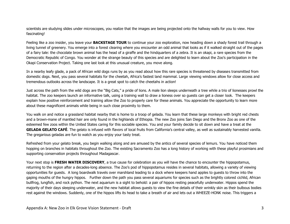scientists are studying slides under microscopes, you realize that the images are being projected onto the hallway walls for you to view. How fascinating!

Feeling like a zoo insider, you leave your **BACKSTAGE TOUR** to continue your zoo exploration, now heading down a shady forest trail through a living tunnel of greenery. You emerge into a forest clearing where you encounter an odd animal that looks as if it walked straight out of the pages of a fairy tale: the chocolate brown animal has the head of a giraffe and the hindquarters of a zebra. It is an okapi, a rare species from the Democratic Republic of Congo. You wonder at the strange beauty of this species and are delighted to learn about the Zoo's participation in the Okapi Conservation Project. Taking one last look at this unusual creature, you move along.

In a nearby leafy glade, a pack of African wild dogs runs by as you read about how this rare species is threatened by diseases transmitted from domestic dogs. Next, you pass several habitats for the cheetah, Africa's fastest land mammal. Large viewing windows allow for close access and tremendous outlooks across the landscape. It is a great spot to catch the cheetahs in action!

Just across the path from the wild dogs are the "Big Cats," a pride of lions. A male lion sleeps underneath a tree while a trio of lionesses prowl the habitat. The zoo keepers launch an informative talk, using a training wall to draw a lioness over so guests can get a closer look. The keepers explain how positive reinforcement and training allow the Zoo to properly care for these animals. You appreciate the opportunity to learn more about these magnificent animals while being in such close proximity to them.

You walk on and notice a grassland habitat nearby that is home to a troop of gelada. You learn that these large monkeys with bright red chests and a brown-mane of mantled hair are only found in the highlands of Ethiopia. The new Zoo joins San Diego and the Bronx Zoo as one of the esteemed few zoos within the United States caring for this sociable species. You and your family decide to sit down and have a treat at the **GELADA GELATO CAFÉ**. The gelato is infused with flavors of local fruits from California's central valley, as well as sustainably harvested vanilla. The gregarious geladas are fun to watch as you enjoy your tasty treat.

Refreshed from your gelato break, you begin walking along and are amused by the antics of several species of lemurs. You have noticed them hopping on branches in habitats throughout the Zoo. The existing Sacramento Zoo has a long history of working with these playful prosimians and supporting conservation projects throughout Madagascar.

Your next stop is FRESH WATER DISCOVERY, a true cause for celebration as you will have the chance to encounter the hippopotamus, returning to the region after a decades-long absence. The Zoo's pod of hippopotamus resides in several habitats, allowing a variety of viewing opportunities for guests. A long boardwalk travels over marshland leading to a dock where keepers hand apples to guests to throw into the gaping mouths of the hungry hippos. Further down the path you pass several aquariums for species such as the brightly colored cichlid, African bullfrog, lungfish, and rock python. The next aquarium is a sight to behold: a pair of hippos resting peacefully underwater. Hippos spend the majority of their days sleeping underwater, and the new habitat allows guests to view the fine details of their wrinkly skin as their bulbous bodies rest against the windows. Suddenly, one of the hippos lifts its head to take a breath of air and lets out a WHEEZE-HONK noise. This triggers a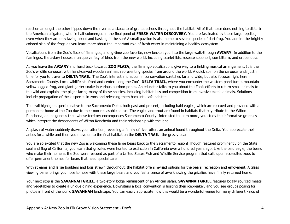reaction amongst the other hippos down the river as a staccato of grunts echoes throughout the habitat. All of that noise does nothing to disturb the American alligators, who lie half submerged in the final pond of **FRESH WATER DISCOVERY**. You are fascinated by these large reptiles, even when they are only lazing about and basking in the sun! A small pavilion is also home to several species of dart frog. You admire the brightly colored skin of the frogs as you learn more about the important role of fresh water in maintaining a healthy ecosystem.

Vocalizations from the Zoo's flock of flamingos, a long-time zoo favorite, now beckon you into the large walk-through **AVIARY**. In addition to the flamingos, the aviary houses a unique variety of birds from the new world, including scarlet ibis, roseate spoonbill, sun bittern, and oropendola.

As you leave the **AVIARY** and head back towards **ZOO PLAZA**, the flamingo vocalizations give way to a tinkling musical arrangement. It is the Zoo's wildlife carousel, with hand-carved wooden animals representing species from around the world. A quick spin on the carousel ends just in time for you to travel to **DELTA TRAIL**. The Zoo's interest and action in conservation stretches far and wide, but also focuses right here in Sacramento County. Local wildlife sits front and center along the Zoo's **DELTA TRAIL**, where you encounter the western pond turtle, mountain yellow legged frog, and giant garter snake in various outdoor ponds. An educator talks to you about the Zoo's efforts to return small animals to the wild and explains the plight facing many of these species, including habitat loss and competition from invasive exotic animals. Solutions include propagation of these species in zoos and releasing them back into safe habitats.

The trail highlights species native to the Sacramento Delta, both past and present, including bald eagles, which are rescued and provided with a permanent home at the Zoo due to their non-releasable status. The eagles and trout are found in habitats that pay tribute to the Wilton Rancheria, an indigenous tribe whose territory encompasses Sacramento County. Interested to learn more, you study the informative graphics which interpret the descendants of Wilton Rancheria and their relationship with the land.

A splash of water suddenly draws your attention, revealing a family of river otter, an animal found throughout the Delta. You appreciate their antics for a while and then you move on to the final habitat on the **DELTA TRAIL**: the grizzly bear.

You are so excited that the new Zoo is welcoming these large bears back to the Sacramento region! Though featured prominently on the State seal and flag of California, you learn that grizzlies were hunted to extinction in California over a hundred years ago. Like the bald eagle, the bears who make their home at the Zoo were rescued as part of a United States Fish and Wildlife Service program that calls upon accredited zoos to offer permanent homes for bears that need special care.

With streams and large boulders and logs strewn throughout, the habitat offers myriad options for the bears' recreation and enjoyment. A glass viewing panel brings you nose to nose with these large bears and you feel a sense of awe knowing the grizzlies have finally returned home.

Your next stop is the **SAVANNAH GRILL**, a two-story lodge reminiscent of an African safari. **SAVANNAH GRILL** features locally sourced meats and vegetables to create a unique dining experience. Downstairs a local convention is hosting their icebreaker, and you see groups posing for photos in front of the iconic **SAVANNAH** landscape. You can easily appreciate how this would be a wonderful venue for many different kinds of